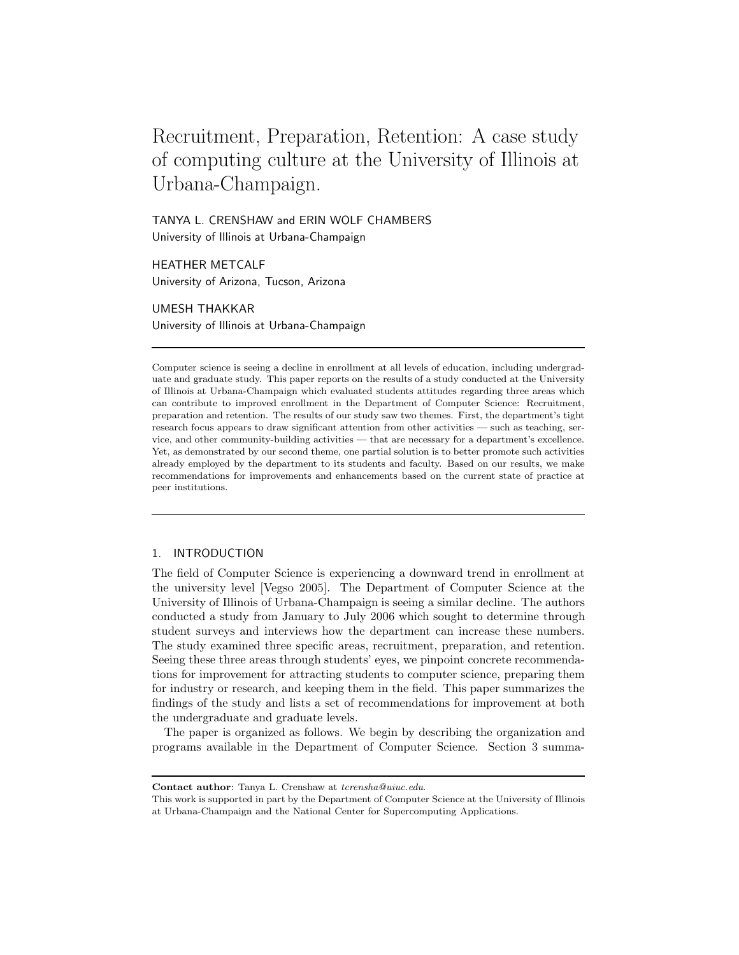# Recruitment, Preparation, Retention: A case study of computing culture at the University of Illinois at Urbana-Champaign.

TANYA L. CRENSHAW and ERIN WOLF CHAMBERS University of Illinois at Urbana-Champaign

HEATHER METCALF University of Arizona, Tucson, Arizona

UMESH THAKKAR University of Illinois at Urbana-Champaign

Computer science is seeing a decline in enrollment at all levels of education, including undergraduate and graduate study. This paper reports on the results of a study conducted at the University of Illinois at Urbana-Champaign which evaluated students attitudes regarding three areas which can contribute to improved enrollment in the Department of Computer Science: Recruitment, preparation and retention. The results of our study saw two themes. First, the department's tight research focus appears to draw significant attention from other activities — such as teaching, service, and other community-building activities — that are necessary for a department's excellence. Yet, as demonstrated by our second theme, one partial solution is to better promote such activities already employed by the department to its students and faculty. Based on our results, we make recommendations for improvements and enhancements based on the current state of practice at peer institutions.

# 1. INTRODUCTION

The field of Computer Science is experiencing a downward trend in enrollment at the university level [Vegso 2005]. The Department of Computer Science at the University of Illinois of Urbana-Champaign is seeing a similar decline. The authors conducted a study from January to July 2006 which sought to determine through student surveys and interviews how the department can increase these numbers. The study examined three specific areas, recruitment, preparation, and retention. Seeing these three areas through students' eyes, we pinpoint concrete recommendations for improvement for attracting students to computer science, preparing them for industry or research, and keeping them in the field. This paper summarizes the findings of the study and lists a set of recommendations for improvement at both the undergraduate and graduate levels.

The paper is organized as follows. We begin by describing the organization and programs available in the Department of Computer Science. Section 3 summa-

Contact author: Tanya L. Crenshaw at tcrensha@uiuc.edu.

This work is supported in part by the Department of Computer Science at the University of Illinois at Urbana-Champaign and the National Center for Supercomputing Applications.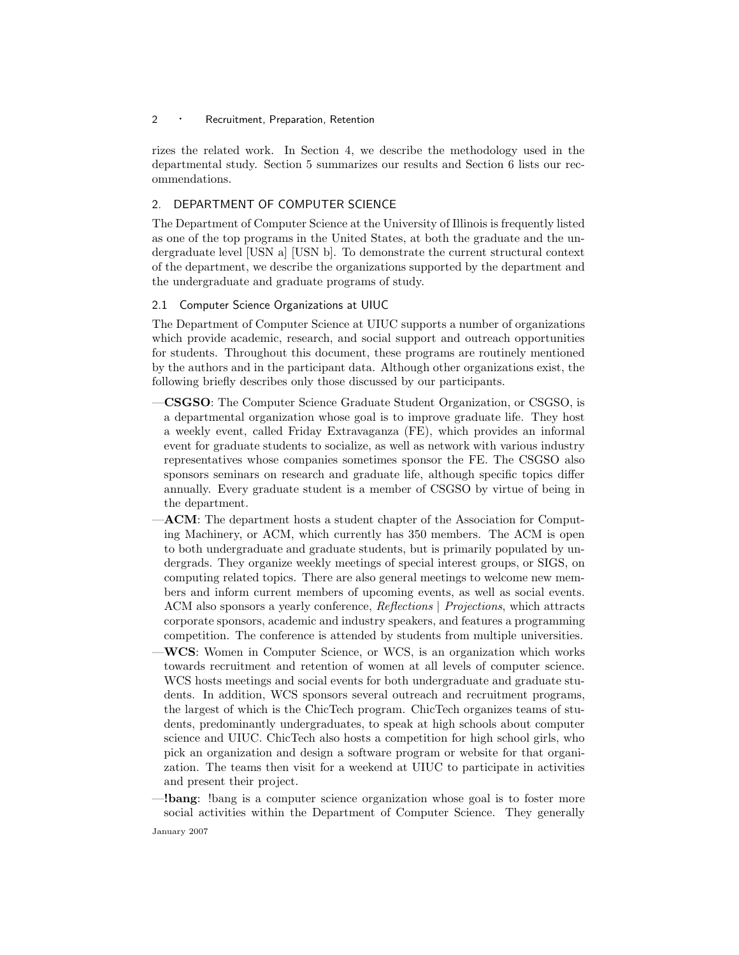rizes the related work. In Section 4, we describe the methodology used in the departmental study. Section 5 summarizes our results and Section 6 lists our recommendations.

# 2. DEPARTMENT OF COMPUTER SCIENCE

The Department of Computer Science at the University of Illinois is frequently listed as one of the top programs in the United States, at both the graduate and the undergraduate level [USN a] [USN b]. To demonstrate the current structural context of the department, we describe the organizations supported by the department and the undergraduate and graduate programs of study.

# 2.1 Computer Science Organizations at UIUC

The Department of Computer Science at UIUC supports a number of organizations which provide academic, research, and social support and outreach opportunities for students. Throughout this document, these programs are routinely mentioned by the authors and in the participant data. Although other organizations exist, the following briefly describes only those discussed by our participants.

- —CSGSO: The Computer Science Graduate Student Organization, or CSGSO, is a departmental organization whose goal is to improve graduate life. They host a weekly event, called Friday Extravaganza (FE), which provides an informal event for graduate students to socialize, as well as network with various industry representatives whose companies sometimes sponsor the FE. The CSGSO also sponsors seminars on research and graduate life, although specific topics differ annually. Every graduate student is a member of CSGSO by virtue of being in the department.
- —ACM: The department hosts a student chapter of the Association for Computing Machinery, or ACM, which currently has 350 members. The ACM is open to both undergraduate and graduate students, but is primarily populated by undergrads. They organize weekly meetings of special interest groups, or SIGS, on computing related topics. There are also general meetings to welcome new members and inform current members of upcoming events, as well as social events. ACM also sponsors a yearly conference, Reflections | Projections, which attracts corporate sponsors, academic and industry speakers, and features a programming competition. The conference is attended by students from multiple universities.
- —WCS: Women in Computer Science, or WCS, is an organization which works towards recruitment and retention of women at all levels of computer science. WCS hosts meetings and social events for both undergraduate and graduate students. In addition, WCS sponsors several outreach and recruitment programs, the largest of which is the ChicTech program. ChicTech organizes teams of students, predominantly undergraduates, to speak at high schools about computer science and UIUC. ChicTech also hosts a competition for high school girls, who pick an organization and design a software program or website for that organization. The teams then visit for a weekend at UIUC to participate in activities and present their project.
- —!bang: !bang is a computer science organization whose goal is to foster more social activities within the Department of Computer Science. They generally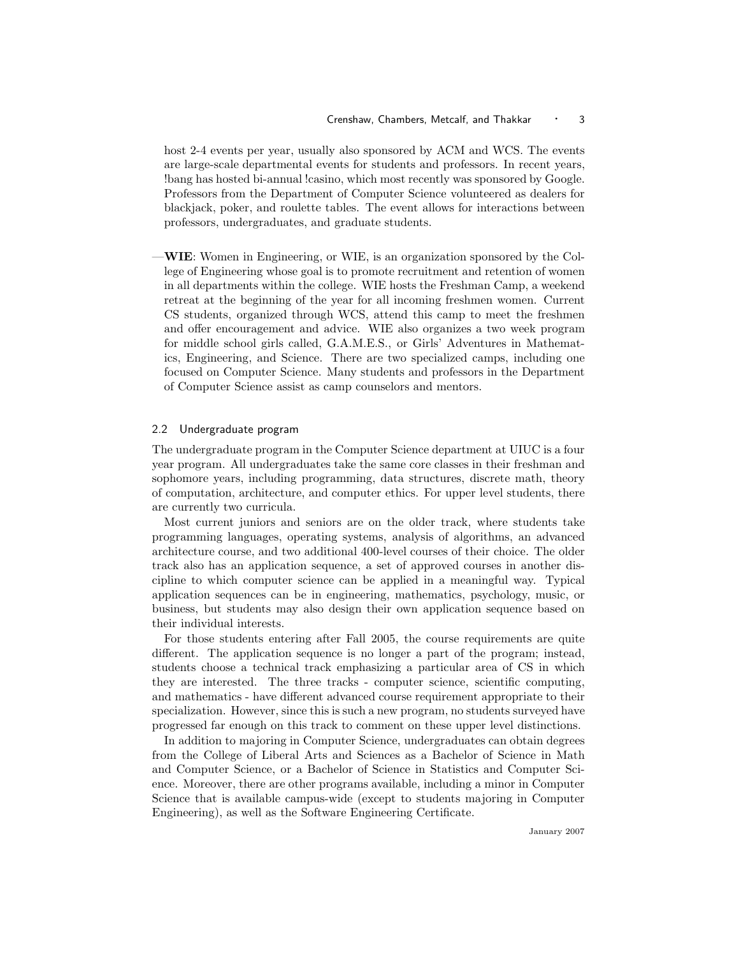host 2-4 events per year, usually also sponsored by ACM and WCS. The events are large-scale departmental events for students and professors. In recent years, !bang has hosted bi-annual !casino, which most recently was sponsored by Google. Professors from the Department of Computer Science volunteered as dealers for blackjack, poker, and roulette tables. The event allows for interactions between professors, undergraduates, and graduate students.

—WIE: Women in Engineering, or WIE, is an organization sponsored by the College of Engineering whose goal is to promote recruitment and retention of women in all departments within the college. WIE hosts the Freshman Camp, a weekend retreat at the beginning of the year for all incoming freshmen women. Current CS students, organized through WCS, attend this camp to meet the freshmen and offer encouragement and advice. WIE also organizes a two week program for middle school girls called, G.A.M.E.S., or Girls' Adventures in Mathematics, Engineering, and Science. There are two specialized camps, including one focused on Computer Science. Many students and professors in the Department of Computer Science assist as camp counselors and mentors.

# 2.2 Undergraduate program

The undergraduate program in the Computer Science department at UIUC is a four year program. All undergraduates take the same core classes in their freshman and sophomore years, including programming, data structures, discrete math, theory of computation, architecture, and computer ethics. For upper level students, there are currently two curricula.

Most current juniors and seniors are on the older track, where students take programming languages, operating systems, analysis of algorithms, an advanced architecture course, and two additional 400-level courses of their choice. The older track also has an application sequence, a set of approved courses in another discipline to which computer science can be applied in a meaningful way. Typical application sequences can be in engineering, mathematics, psychology, music, or business, but students may also design their own application sequence based on their individual interests.

For those students entering after Fall 2005, the course requirements are quite different. The application sequence is no longer a part of the program; instead, students choose a technical track emphasizing a particular area of CS in which they are interested. The three tracks - computer science, scientific computing, and mathematics - have different advanced course requirement appropriate to their specialization. However, since this is such a new program, no students surveyed have progressed far enough on this track to comment on these upper level distinctions.

In addition to majoring in Computer Science, undergraduates can obtain degrees from the College of Liberal Arts and Sciences as a Bachelor of Science in Math and Computer Science, or a Bachelor of Science in Statistics and Computer Science. Moreover, there are other programs available, including a minor in Computer Science that is available campus-wide (except to students majoring in Computer Engineering), as well as the Software Engineering Certificate.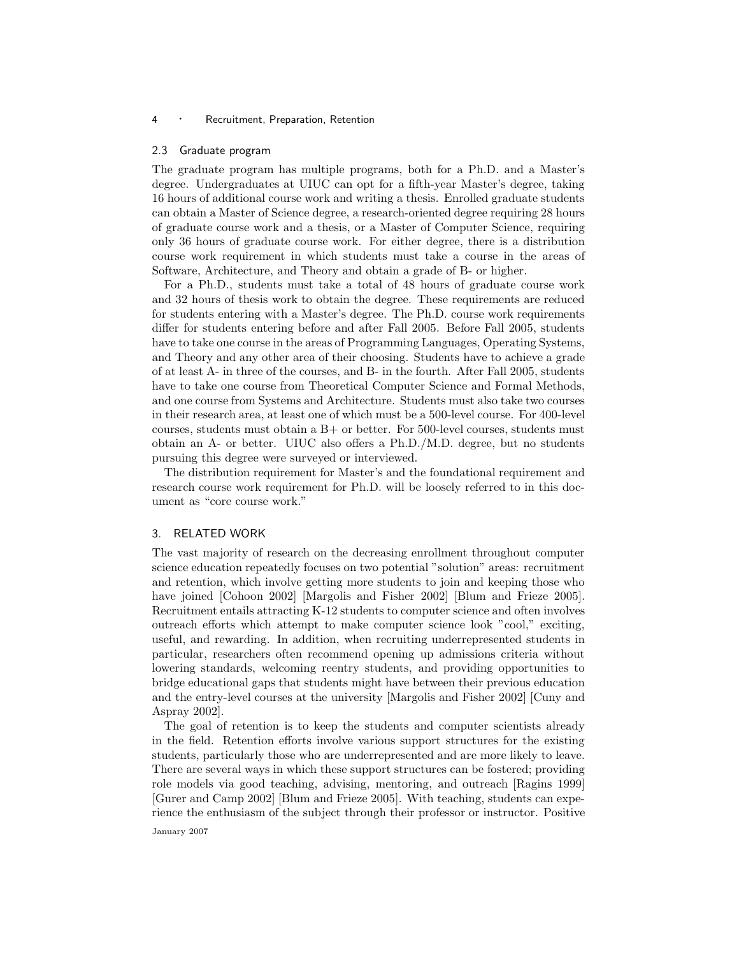#### 2.3 Graduate program

The graduate program has multiple programs, both for a Ph.D. and a Master's degree. Undergraduates at UIUC can opt for a fifth-year Master's degree, taking 16 hours of additional course work and writing a thesis. Enrolled graduate students can obtain a Master of Science degree, a research-oriented degree requiring 28 hours of graduate course work and a thesis, or a Master of Computer Science, requiring only 36 hours of graduate course work. For either degree, there is a distribution course work requirement in which students must take a course in the areas of Software, Architecture, and Theory and obtain a grade of B- or higher.

For a Ph.D., students must take a total of 48 hours of graduate course work and 32 hours of thesis work to obtain the degree. These requirements are reduced for students entering with a Master's degree. The Ph.D. course work requirements differ for students entering before and after Fall 2005. Before Fall 2005, students have to take one course in the areas of Programming Languages, Operating Systems, and Theory and any other area of their choosing. Students have to achieve a grade of at least A- in three of the courses, and B- in the fourth. After Fall 2005, students have to take one course from Theoretical Computer Science and Formal Methods, and one course from Systems and Architecture. Students must also take two courses in their research area, at least one of which must be a 500-level course. For 400-level courses, students must obtain a B+ or better. For 500-level courses, students must obtain an A- or better. UIUC also offers a Ph.D./M.D. degree, but no students pursuing this degree were surveyed or interviewed.

The distribution requirement for Master's and the foundational requirement and research course work requirement for Ph.D. will be loosely referred to in this document as "core course work."

#### 3. RELATED WORK

The vast majority of research on the decreasing enrollment throughout computer science education repeatedly focuses on two potential "solution" areas: recruitment and retention, which involve getting more students to join and keeping those who have joined [Cohoon 2002] [Margolis and Fisher 2002] [Blum and Frieze 2005]. Recruitment entails attracting K-12 students to computer science and often involves outreach efforts which attempt to make computer science look "cool," exciting, useful, and rewarding. In addition, when recruiting underrepresented students in particular, researchers often recommend opening up admissions criteria without lowering standards, welcoming reentry students, and providing opportunities to bridge educational gaps that students might have between their previous education and the entry-level courses at the university [Margolis and Fisher 2002] [Cuny and Aspray 2002].

The goal of retention is to keep the students and computer scientists already in the field. Retention efforts involve various support structures for the existing students, particularly those who are underrepresented and are more likely to leave. There are several ways in which these support structures can be fostered; providing role models via good teaching, advising, mentoring, and outreach [Ragins 1999] [Gurer and Camp 2002] [Blum and Frieze 2005]. With teaching, students can experience the enthusiasm of the subject through their professor or instructor. Positive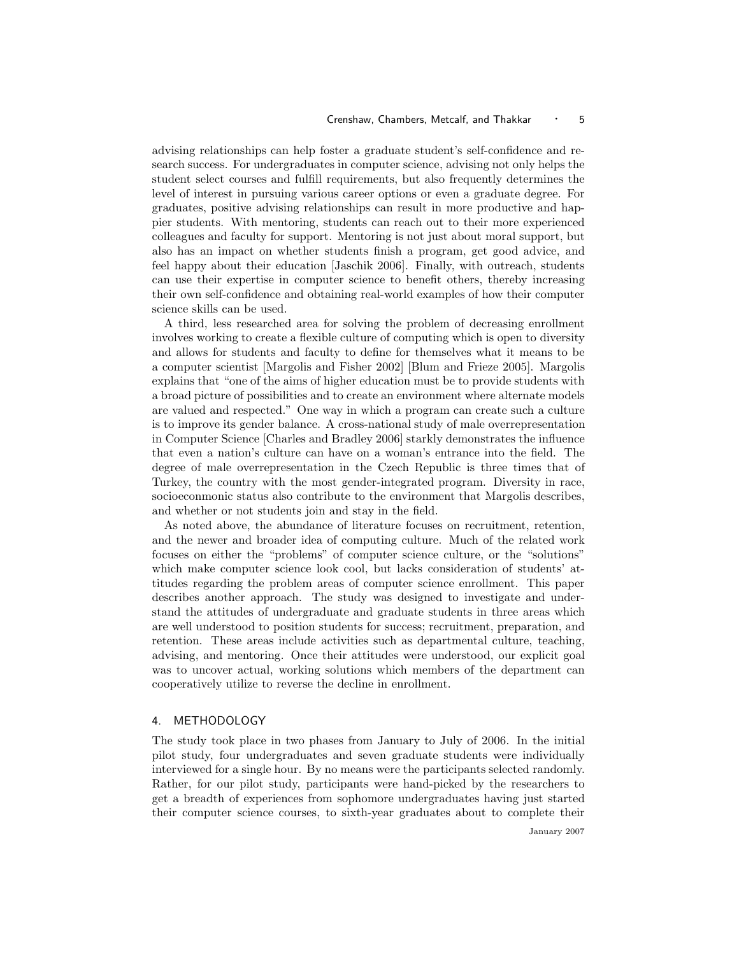advising relationships can help foster a graduate student's self-confidence and research success. For undergraduates in computer science, advising not only helps the student select courses and fulfill requirements, but also frequently determines the level of interest in pursuing various career options or even a graduate degree. For graduates, positive advising relationships can result in more productive and happier students. With mentoring, students can reach out to their more experienced colleagues and faculty for support. Mentoring is not just about moral support, but also has an impact on whether students finish a program, get good advice, and feel happy about their education [Jaschik 2006]. Finally, with outreach, students can use their expertise in computer science to benefit others, thereby increasing their own self-confidence and obtaining real-world examples of how their computer science skills can be used.

A third, less researched area for solving the problem of decreasing enrollment involves working to create a flexible culture of computing which is open to diversity and allows for students and faculty to define for themselves what it means to be a computer scientist [Margolis and Fisher 2002] [Blum and Frieze 2005]. Margolis explains that "one of the aims of higher education must be to provide students with a broad picture of possibilities and to create an environment where alternate models are valued and respected." One way in which a program can create such a culture is to improve its gender balance. A cross-national study of male overrepresentation in Computer Science [Charles and Bradley 2006] starkly demonstrates the influence that even a nation's culture can have on a woman's entrance into the field. The degree of male overrepresentation in the Czech Republic is three times that of Turkey, the country with the most gender-integrated program. Diversity in race, socioeconmonic status also contribute to the environment that Margolis describes, and whether or not students join and stay in the field.

As noted above, the abundance of literature focuses on recruitment, retention, and the newer and broader idea of computing culture. Much of the related work focuses on either the "problems" of computer science culture, or the "solutions" which make computer science look cool, but lacks consideration of students' attitudes regarding the problem areas of computer science enrollment. This paper describes another approach. The study was designed to investigate and understand the attitudes of undergraduate and graduate students in three areas which are well understood to position students for success; recruitment, preparation, and retention. These areas include activities such as departmental culture, teaching, advising, and mentoring. Once their attitudes were understood, our explicit goal was to uncover actual, working solutions which members of the department can cooperatively utilize to reverse the decline in enrollment.

## 4. METHODOLOGY

The study took place in two phases from January to July of 2006. In the initial pilot study, four undergraduates and seven graduate students were individually interviewed for a single hour. By no means were the participants selected randomly. Rather, for our pilot study, participants were hand-picked by the researchers to get a breadth of experiences from sophomore undergraduates having just started their computer science courses, to sixth-year graduates about to complete their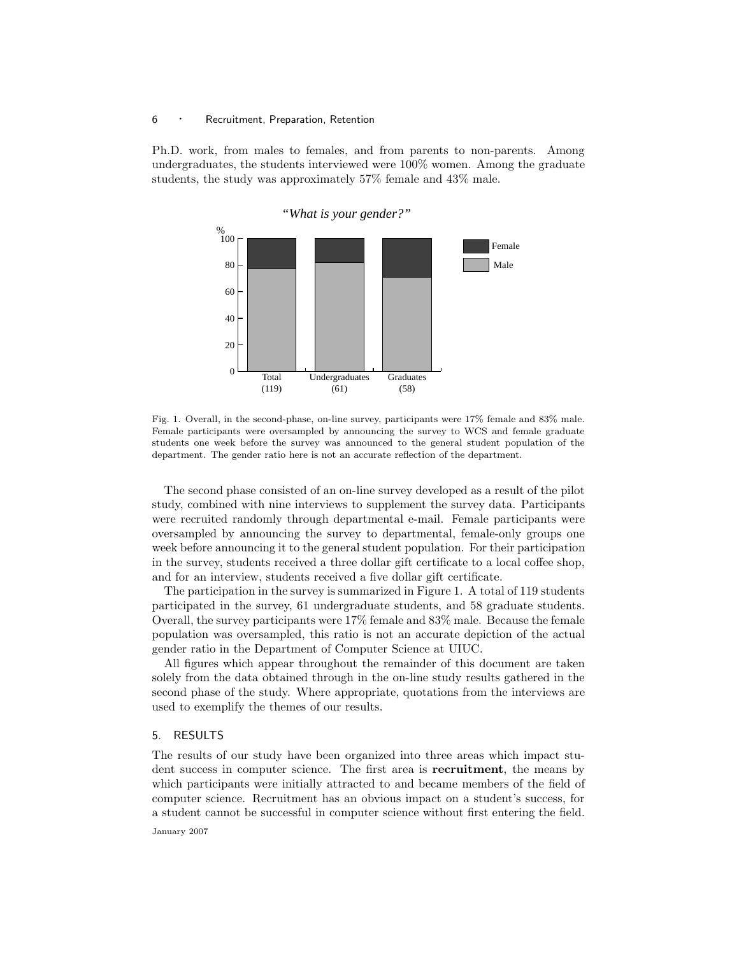Ph.D. work, from males to females, and from parents to non-parents. Among undergraduates, the students interviewed were 100% women. Among the graduate students, the study was approximately 57% female and 43% male.



Fig. 1. Overall, in the second-phase, on-line survey, participants were 17% female and 83% male. Female participants were oversampled by announcing the survey to WCS and female graduate students one week before the survey was announced to the general student population of the department. The gender ratio here is not an accurate reflection of the department.

The second phase consisted of an on-line survey developed as a result of the pilot study, combined with nine interviews to supplement the survey data. Participants were recruited randomly through departmental e-mail. Female participants were oversampled by announcing the survey to departmental, female-only groups one week before announcing it to the general student population. For their participation in the survey, students received a three dollar gift certificate to a local coffee shop, and for an interview, students received a five dollar gift certificate.

The participation in the survey is summarized in Figure 1. A total of 119 students participated in the survey, 61 undergraduate students, and 58 graduate students. Overall, the survey participants were 17% female and 83% male. Because the female population was oversampled, this ratio is not an accurate depiction of the actual gender ratio in the Department of Computer Science at UIUC.

All figures which appear throughout the remainder of this document are taken solely from the data obtained through in the on-line study results gathered in the second phase of the study. Where appropriate, quotations from the interviews are used to exemplify the themes of our results.

# 5. RESULTS

The results of our study have been organized into three areas which impact student success in computer science. The first area is **recruitment**, the means by which participants were initially attracted to and became members of the field of computer science. Recruitment has an obvious impact on a student's success, for a student cannot be successful in computer science without first entering the field.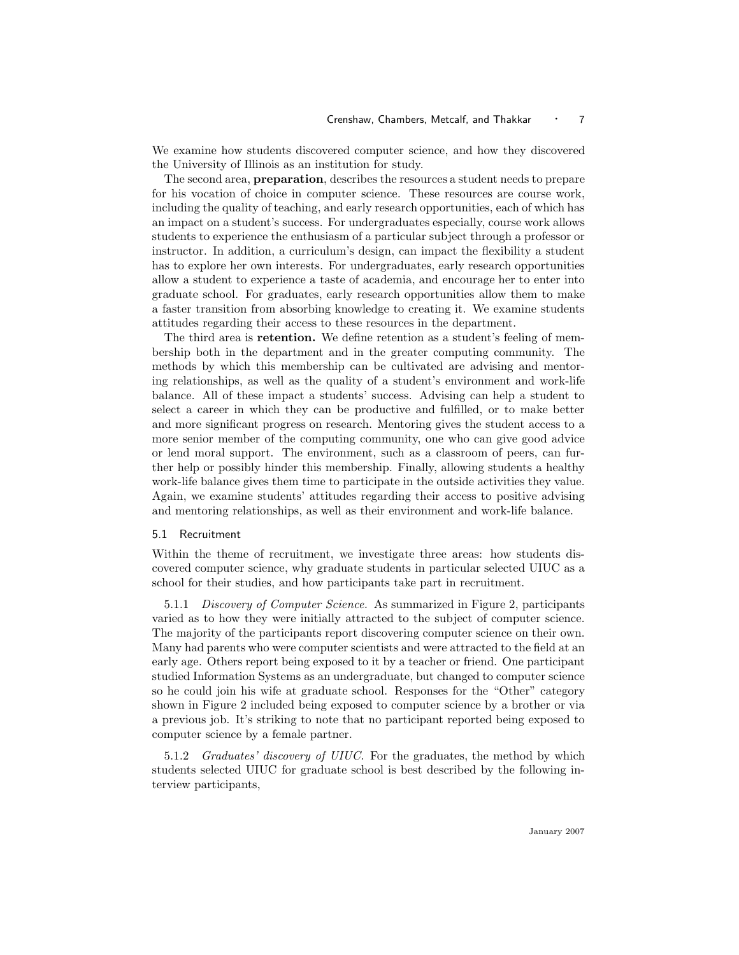We examine how students discovered computer science, and how they discovered the University of Illinois as an institution for study.

The second area, preparation, describes the resources a student needs to prepare for his vocation of choice in computer science. These resources are course work, including the quality of teaching, and early research opportunities, each of which has an impact on a student's success. For undergraduates especially, course work allows students to experience the enthusiasm of a particular subject through a professor or instructor. In addition, a curriculum's design, can impact the flexibility a student has to explore her own interests. For undergraduates, early research opportunities allow a student to experience a taste of academia, and encourage her to enter into graduate school. For graduates, early research opportunities allow them to make a faster transition from absorbing knowledge to creating it. We examine students attitudes regarding their access to these resources in the department.

The third area is retention. We define retention as a student's feeling of membership both in the department and in the greater computing community. The methods by which this membership can be cultivated are advising and mentoring relationships, as well as the quality of a student's environment and work-life balance. All of these impact a students' success. Advising can help a student to select a career in which they can be productive and fulfilled, or to make better and more significant progress on research. Mentoring gives the student access to a more senior member of the computing community, one who can give good advice or lend moral support. The environment, such as a classroom of peers, can further help or possibly hinder this membership. Finally, allowing students a healthy work-life balance gives them time to participate in the outside activities they value. Again, we examine students' attitudes regarding their access to positive advising and mentoring relationships, as well as their environment and work-life balance.

# 5.1 Recruitment

Within the theme of recruitment, we investigate three areas: how students discovered computer science, why graduate students in particular selected UIUC as a school for their studies, and how participants take part in recruitment.

5.1.1 Discovery of Computer Science. As summarized in Figure 2, participants varied as to how they were initially attracted to the subject of computer science. The majority of the participants report discovering computer science on their own. Many had parents who were computer scientists and were attracted to the field at an early age. Others report being exposed to it by a teacher or friend. One participant studied Information Systems as an undergraduate, but changed to computer science so he could join his wife at graduate school. Responses for the "Other" category shown in Figure 2 included being exposed to computer science by a brother or via a previous job. It's striking to note that no participant reported being exposed to computer science by a female partner.

5.1.2 Graduates' discovery of UIUC. For the graduates, the method by which students selected UIUC for graduate school is best described by the following interview participants,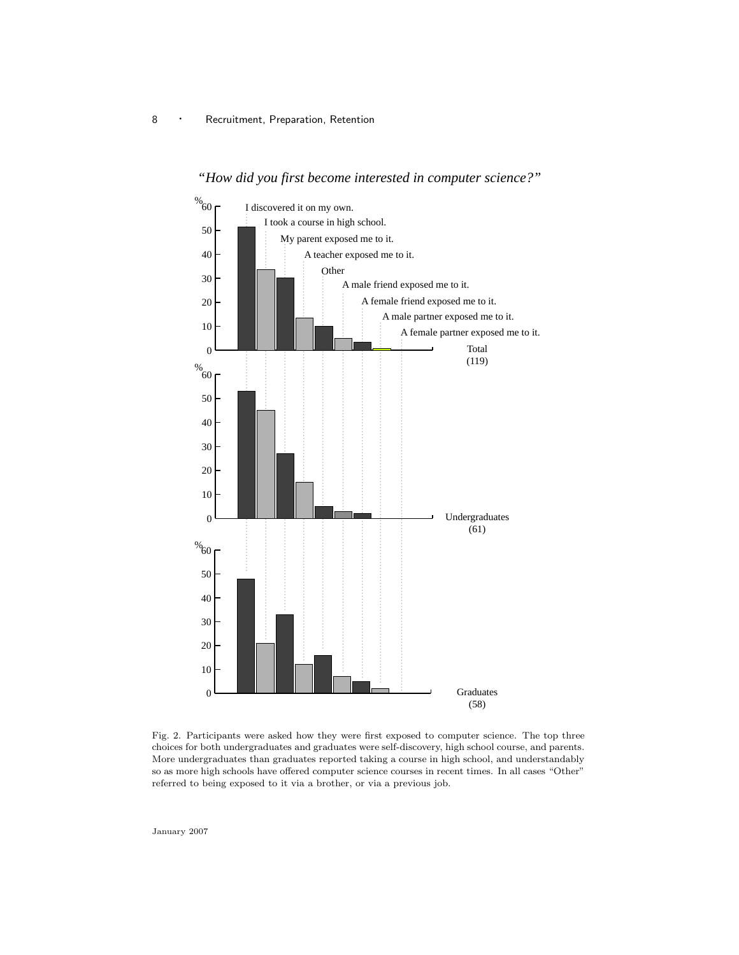

*"How did you first become interested in computer science?"*

Fig. 2. Participants were asked how they were first exposed to computer science. The top three choices for both undergraduates and graduates were self-discovery, high school course, and parents. More undergraduates than graduates reported taking a course in high school, and understandably so as more high schools have offered computer science courses in recent times. In all cases "Other" referred to being exposed to it via a brother, or via a previous job.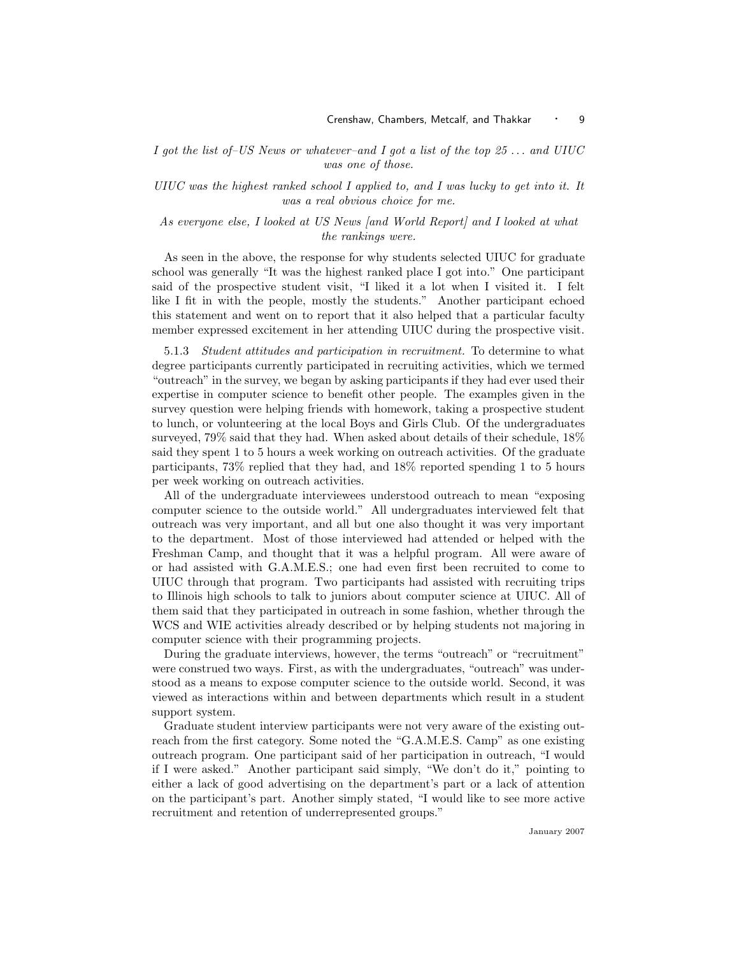I got the list of–US News or whatever–and I got a list of the top  $25...$  and UIUC was one of those.

UIUC was the highest ranked school I applied to, and I was lucky to get into it. It was a real obvious choice for me.

As everyone else, I looked at US News [and World Report] and I looked at what the rankings were.

As seen in the above, the response for why students selected UIUC for graduate school was generally "It was the highest ranked place I got into." One participant said of the prospective student visit, "I liked it a lot when I visited it. I felt like I fit in with the people, mostly the students." Another participant echoed this statement and went on to report that it also helped that a particular faculty member expressed excitement in her attending UIUC during the prospective visit.

5.1.3 Student attitudes and participation in recruitment. To determine to what degree participants currently participated in recruiting activities, which we termed "outreach" in the survey, we began by asking participants if they had ever used their expertise in computer science to benefit other people. The examples given in the survey question were helping friends with homework, taking a prospective student to lunch, or volunteering at the local Boys and Girls Club. Of the undergraduates surveyed, 79% said that they had. When asked about details of their schedule, 18% said they spent 1 to 5 hours a week working on outreach activities. Of the graduate participants, 73% replied that they had, and 18% reported spending 1 to 5 hours per week working on outreach activities.

All of the undergraduate interviewees understood outreach to mean "exposing computer science to the outside world." All undergraduates interviewed felt that outreach was very important, and all but one also thought it was very important to the department. Most of those interviewed had attended or helped with the Freshman Camp, and thought that it was a helpful program. All were aware of or had assisted with G.A.M.E.S.; one had even first been recruited to come to UIUC through that program. Two participants had assisted with recruiting trips to Illinois high schools to talk to juniors about computer science at UIUC. All of them said that they participated in outreach in some fashion, whether through the WCS and WIE activities already described or by helping students not majoring in computer science with their programming projects.

During the graduate interviews, however, the terms "outreach" or "recruitment" were construed two ways. First, as with the undergraduates, "outreach" was understood as a means to expose computer science to the outside world. Second, it was viewed as interactions within and between departments which result in a student support system.

Graduate student interview participants were not very aware of the existing outreach from the first category. Some noted the "G.A.M.E.S. Camp" as one existing outreach program. One participant said of her participation in outreach, "I would if I were asked." Another participant said simply, "We don't do it," pointing to either a lack of good advertising on the department's part or a lack of attention on the participant's part. Another simply stated, "I would like to see more active recruitment and retention of underrepresented groups."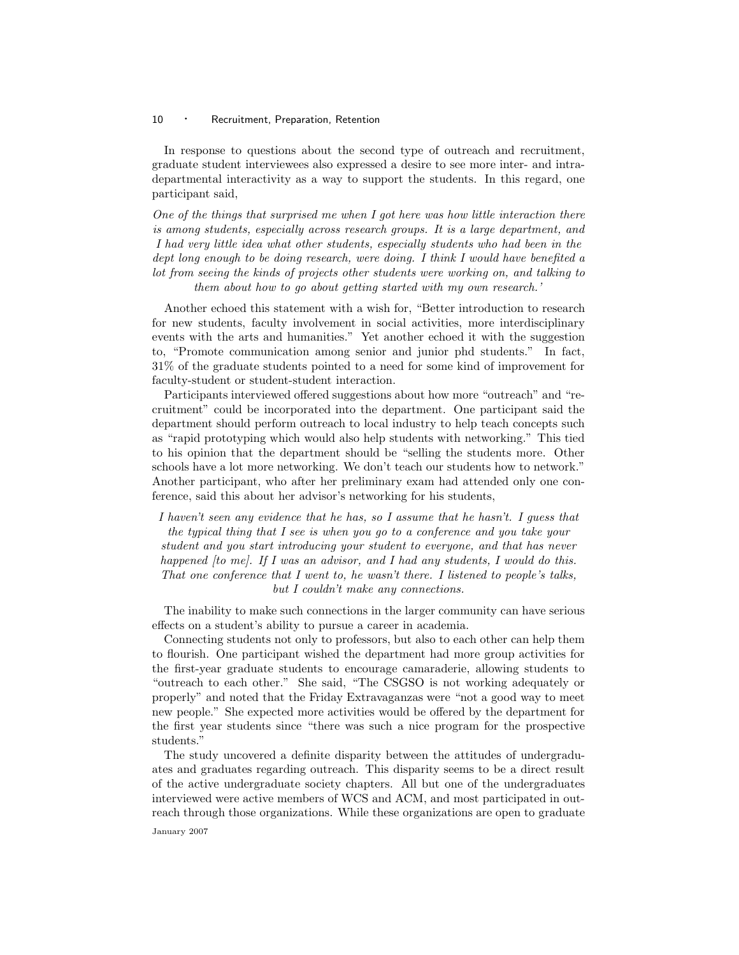In response to questions about the second type of outreach and recruitment, graduate student interviewees also expressed a desire to see more inter- and intradepartmental interactivity as a way to support the students. In this regard, one participant said,

One of the things that surprised me when I got here was how little interaction there is among students, especially across research groups. It is a large department, and I had very little idea what other students, especially students who had been in the dept long enough to be doing research, were doing. I think I would have benefited a lot from seeing the kinds of projects other students were working on, and talking to them about how to go about getting started with my own research.'

Another echoed this statement with a wish for, "Better introduction to research for new students, faculty involvement in social activities, more interdisciplinary events with the arts and humanities." Yet another echoed it with the suggestion to, "Promote communication among senior and junior phd students." In fact, 31% of the graduate students pointed to a need for some kind of improvement for faculty-student or student-student interaction.

Participants interviewed offered suggestions about how more "outreach" and "recruitment" could be incorporated into the department. One participant said the department should perform outreach to local industry to help teach concepts such as "rapid prototyping which would also help students with networking." This tied to his opinion that the department should be "selling the students more. Other schools have a lot more networking. We don't teach our students how to network." Another participant, who after her preliminary exam had attended only one conference, said this about her advisor's networking for his students,

I haven't seen any evidence that he has, so I assume that he hasn't. I guess that the typical thing that I see is when you go to a conference and you take your student and you start introducing your student to everyone, and that has never happened [to me]. If I was an advisor, and I had any students, I would do this. That one conference that I went to, he wasn't there. I listened to people's talks, but I couldn't make any connections.

The inability to make such connections in the larger community can have serious effects on a student's ability to pursue a career in academia.

Connecting students not only to professors, but also to each other can help them to flourish. One participant wished the department had more group activities for the first-year graduate students to encourage camaraderie, allowing students to "outreach to each other." She said, "The CSGSO is not working adequately or properly" and noted that the Friday Extravaganzas were "not a good way to meet new people." She expected more activities would be offered by the department for the first year students since "there was such a nice program for the prospective students."

The study uncovered a definite disparity between the attitudes of undergraduates and graduates regarding outreach. This disparity seems to be a direct result of the active undergraduate society chapters. All but one of the undergraduates interviewed were active members of WCS and ACM, and most participated in outreach through those organizations. While these organizations are open to graduate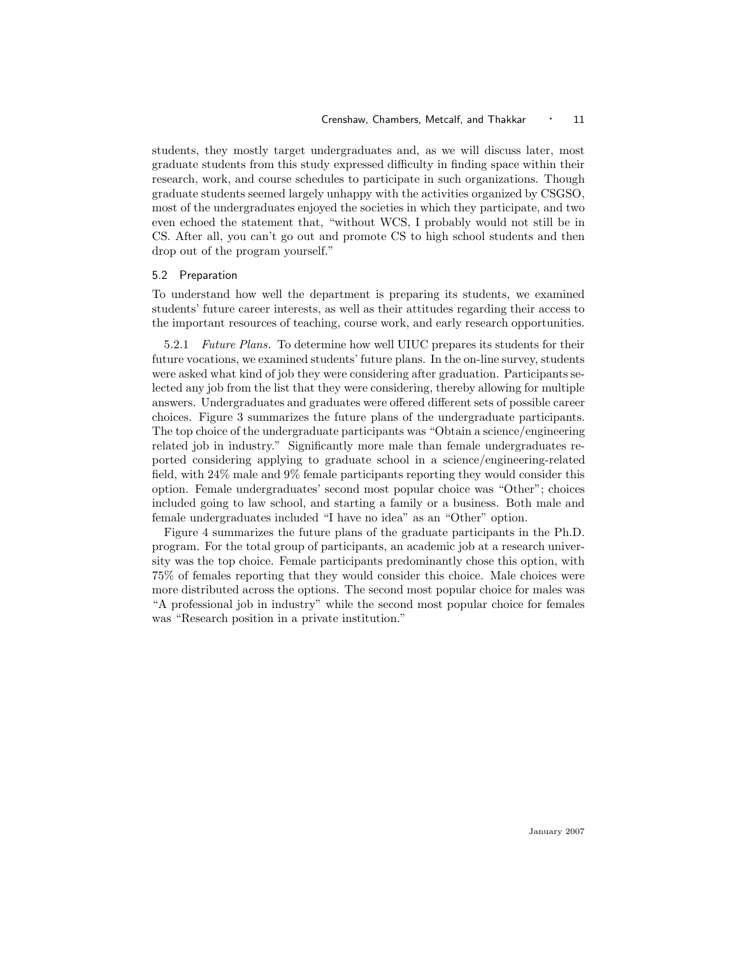students, they mostly target undergraduates and, as we will discuss later, most graduate students from this study expressed difficulty in finding space within their research, work, and course schedules to participate in such organizations. Though graduate students seemed largely unhappy with the activities organized by CSGSO, most of the undergraduates enjoyed the societies in which they participate, and two even echoed the statement that, "without WCS, I probably would not still be in CS. After all, you can't go out and promote CS to high school students and then drop out of the program yourself."

#### 5.2 Preparation

To understand how well the department is preparing its students, we examined students' future career interests, as well as their attitudes regarding their access to the important resources of teaching, course work, and early research opportunities.

5.2.1 Future Plans. To determine how well UIUC prepares its students for their future vocations, we examined students' future plans. In the on-line survey, students were asked what kind of job they were considering after graduation. Participants selected any job from the list that they were considering, thereby allowing for multiple answers. Undergraduates and graduates were offered different sets of possible career choices. Figure 3 summarizes the future plans of the undergraduate participants. The top choice of the undergraduate participants was "Obtain a science/engineering related job in industry." Significantly more male than female undergraduates reported considering applying to graduate school in a science/engineering-related field, with 24% male and 9% female participants reporting they would consider this option. Female undergraduates' second most popular choice was "Other"; choices included going to law school, and starting a family or a business. Both male and female undergraduates included "I have no idea" as an "Other" option.

Figure 4 summarizes the future plans of the graduate participants in the Ph.D. program. For the total group of participants, an academic job at a research university was the top choice. Female participants predominantly chose this option, with 75% of females reporting that they would consider this choice. Male choices were more distributed across the options. The second most popular choice for males was "A professional job in industry" while the second most popular choice for females was "Research position in a private institution."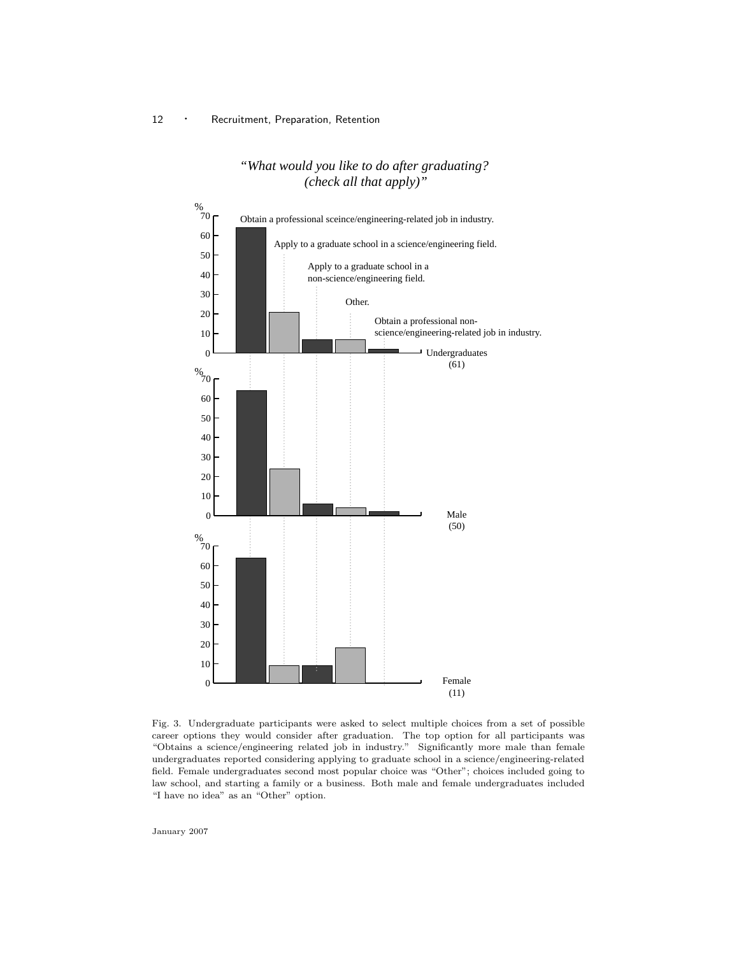# *"What would you like to do after graduating? (check all that apply)"*



Fig. 3. Undergraduate participants were asked to select multiple choices from a set of possible career options they would consider after graduation. The top option for all participants was "Obtains a science/engineering related job in industry." Significantly more male than female undergraduates reported considering applying to graduate school in a science/engineering-related field. Female undergraduates second most popular choice was "Other"; choices included going to law school, and starting a family or a business. Both male and female undergraduates included "I have no idea" as an "Other" option.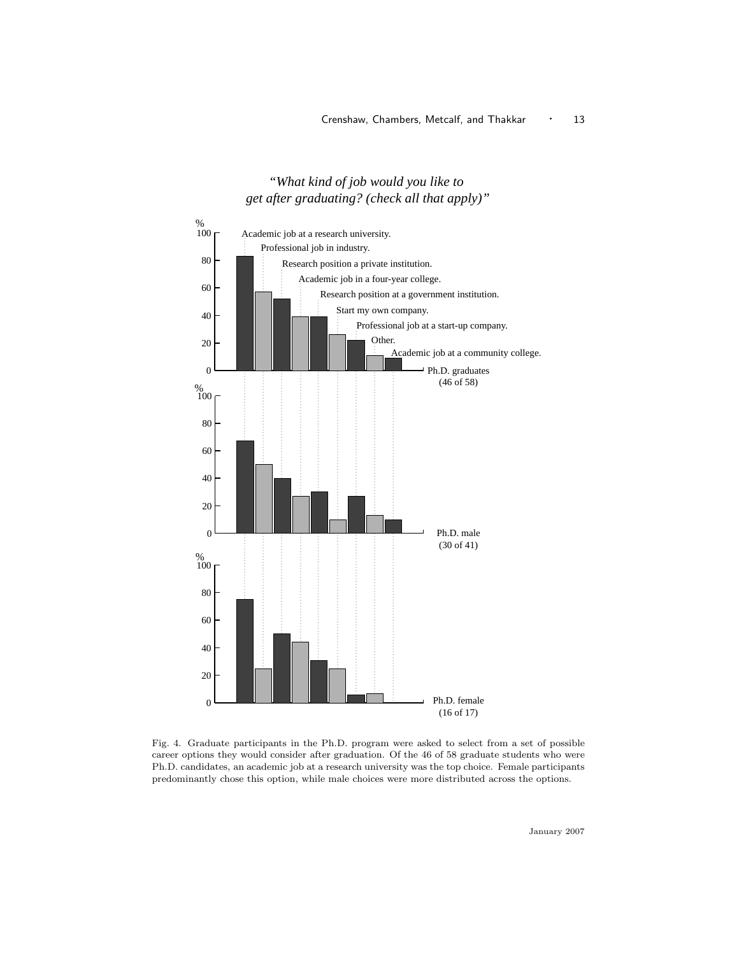# *"What kind of job would you like to get after graduating? (check all that apply)"*



Fig. 4. Graduate participants in the Ph.D. program were asked to select from a set of possible career options they would consider after graduation. Of the 46 of 58 graduate students who were Ph.D. candidates, an academic job at a research university was the top choice. Female participants predominantly chose this option, while male choices were more distributed across the options.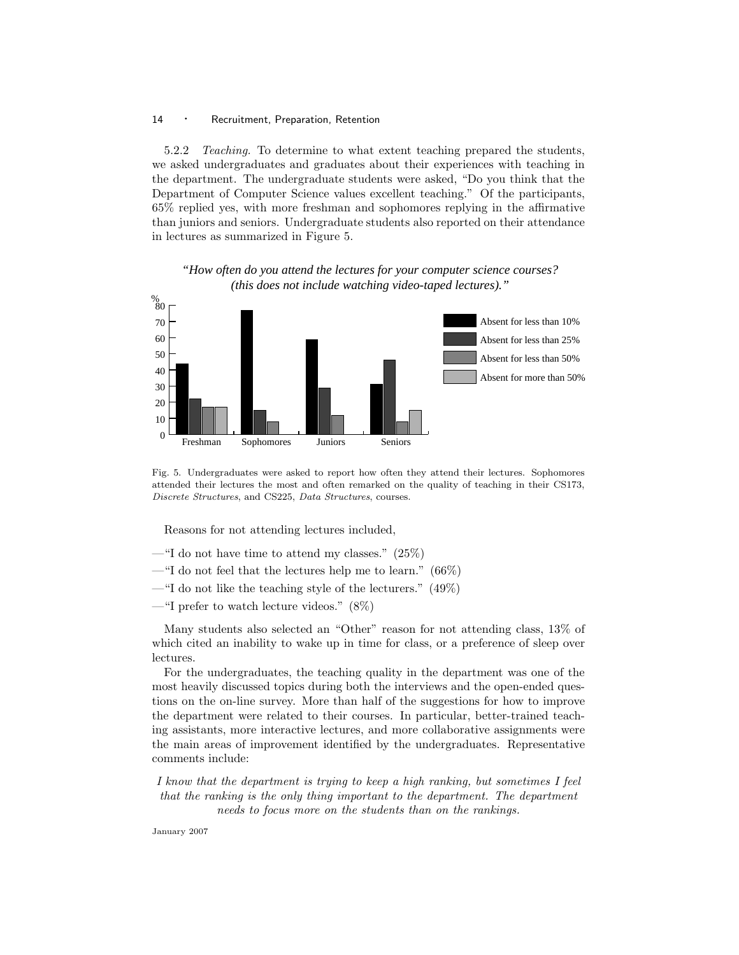5.2.2 Teaching. To determine to what extent teaching prepared the students, we asked undergraduates and graduates about their experiences with teaching in the department. The undergraduate students were asked, "Do you think that the Department of Computer Science values excellent teaching." Of the participants, 65% replied yes, with more freshman and sophomores replying in the affirmative than juniors and seniors. Undergraduate students also reported on their attendance in lectures as summarized in Figure 5.

*"How often do you attend the lectures for your computer science courses? (this does not include watching video-taped lectures)."*



Fig. 5. Undergraduates were asked to report how often they attend their lectures. Sophomores attended their lectures the most and often remarked on the quality of teaching in their CS173, Discrete Structures, and CS225, Data Structures, courses.

Reasons for not attending lectures included,

- "I do not have time to attend my classes."  $(25\%)$
- —"I do not feel that the lectures help me to learn." (66%)
- —"I do not like the teaching style of the lecturers."  $(49\%)$
- —"I prefer to watch lecture videos." (8%)

Many students also selected an "Other" reason for not attending class, 13% of which cited an inability to wake up in time for class, or a preference of sleep over lectures.

For the undergraduates, the teaching quality in the department was one of the most heavily discussed topics during both the interviews and the open-ended questions on the on-line survey. More than half of the suggestions for how to improve the department were related to their courses. In particular, better-trained teaching assistants, more interactive lectures, and more collaborative assignments were the main areas of improvement identified by the undergraduates. Representative comments include:

I know that the department is trying to keep a high ranking, but sometimes I feel that the ranking is the only thing important to the department. The department needs to focus more on the students than on the rankings.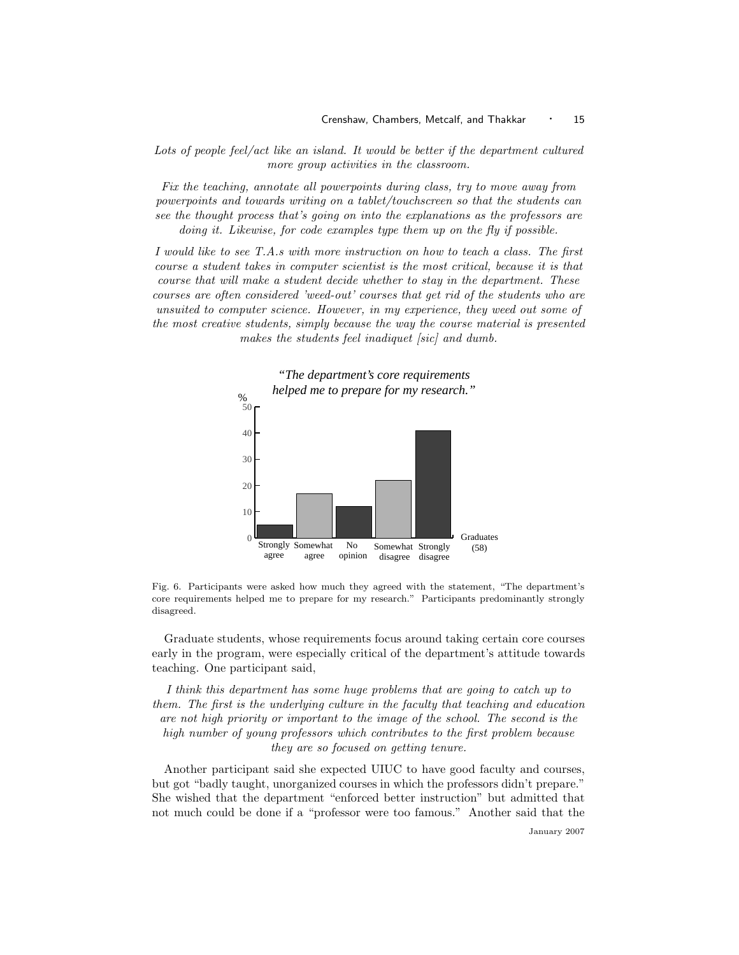Lots of people feel/act like an island. It would be better if the department cultured more group activities in the classroom.

Fix the teaching, annotate all powerpoints during class, try to move away from powerpoints and towards writing on a tablet/touchscreen so that the students can see the thought process that's going on into the explanations as the professors are doing it. Likewise, for code examples type them up on the fly if possible.

I would like to see T.A.s with more instruction on how to teach a class. The first course a student takes in computer scientist is the most critical, because it is that course that will make a student decide whether to stay in the department. These courses are often considered 'weed-out' courses that get rid of the students who are unsuited to computer science. However, in my experience, they weed out some of the most creative students, simply because the way the course material is presented makes the students feel inadiquet [sic] and dumb.



Fig. 6. Participants were asked how much they agreed with the statement, "The department's core requirements helped me to prepare for my research." Participants predominantly strongly disagreed.

Graduate students, whose requirements focus around taking certain core courses early in the program, were especially critical of the department's attitude towards teaching. One participant said,

I think this department has some huge problems that are going to catch up to them. The first is the underlying culture in the faculty that teaching and education are not high priority or important to the image of the school. The second is the high number of young professors which contributes to the first problem because they are so focused on getting tenure.

Another participant said she expected UIUC to have good faculty and courses, but got "badly taught, unorganized courses in which the professors didn't prepare." She wished that the department "enforced better instruction" but admitted that not much could be done if a "professor were too famous." Another said that the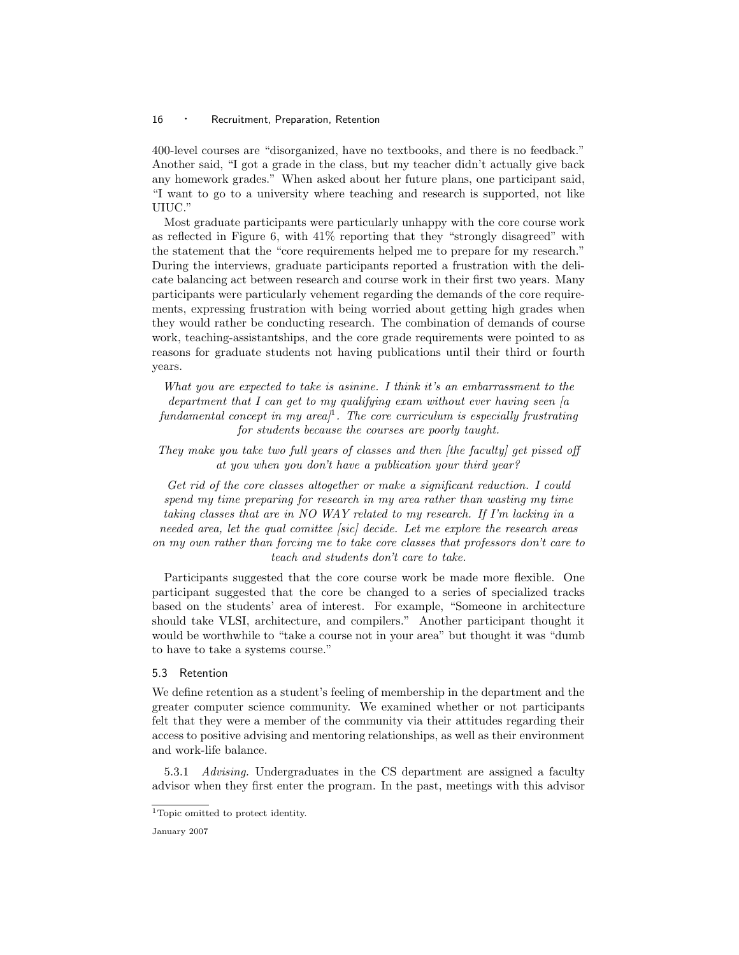400-level courses are "disorganized, have no textbooks, and there is no feedback." Another said, "I got a grade in the class, but my teacher didn't actually give back any homework grades." When asked about her future plans, one participant said, "I want to go to a university where teaching and research is supported, not like UIUC."

Most graduate participants were particularly unhappy with the core course work as reflected in Figure 6, with 41% reporting that they "strongly disagreed" with the statement that the "core requirements helped me to prepare for my research." During the interviews, graduate participants reported a frustration with the delicate balancing act between research and course work in their first two years. Many participants were particularly vehement regarding the demands of the core requirements, expressing frustration with being worried about getting high grades when they would rather be conducting research. The combination of demands of course work, teaching-assistantships, and the core grade requirements were pointed to as reasons for graduate students not having publications until their third or fourth years.

What you are expected to take is asinine. I think it's an embarrassment to the department that I can get to my qualifying exam without ever having seen  $[a]$ fundamental concept in my area $l^1$ . The core curriculum is especially frustrating for students because the courses are poorly taught.

They make you take two full years of classes and then *[the faculty]* get pissed off at you when you don't have a publication your third year?

Get rid of the core classes altogether or make a significant reduction. I could spend my time preparing for research in my area rather than wasting my time taking classes that are in NO WAY related to my research. If I'm lacking in a needed area, let the qual comittee [sic] decide. Let me explore the research areas on my own rather than forcing me to take core classes that professors don't care to teach and students don't care to take.

Participants suggested that the core course work be made more flexible. One participant suggested that the core be changed to a series of specialized tracks based on the students' area of interest. For example, "Someone in architecture should take VLSI, architecture, and compilers." Another participant thought it would be worthwhile to "take a course not in your area" but thought it was "dumb to have to take a systems course."

#### 5.3 Retention

We define retention as a student's feeling of membership in the department and the greater computer science community. We examined whether or not participants felt that they were a member of the community via their attitudes regarding their access to positive advising and mentoring relationships, as well as their environment and work-life balance.

5.3.1 Advising. Undergraduates in the CS department are assigned a faculty advisor when they first enter the program. In the past, meetings with this advisor

 $\rm ^1$  Topic omitted to protect identity.

January 2007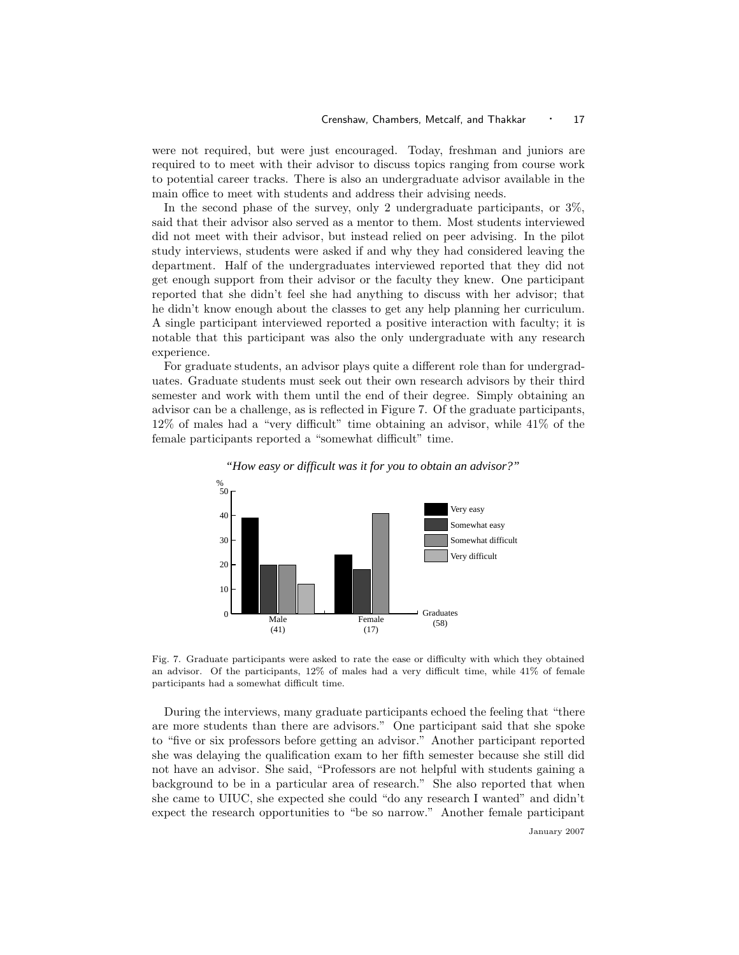were not required, but were just encouraged. Today, freshman and juniors are required to to meet with their advisor to discuss topics ranging from course work to potential career tracks. There is also an undergraduate advisor available in the main office to meet with students and address their advising needs.

In the second phase of the survey, only 2 undergraduate participants, or 3%, said that their advisor also served as a mentor to them. Most students interviewed did not meet with their advisor, but instead relied on peer advising. In the pilot study interviews, students were asked if and why they had considered leaving the department. Half of the undergraduates interviewed reported that they did not get enough support from their advisor or the faculty they knew. One participant reported that she didn't feel she had anything to discuss with her advisor; that he didn't know enough about the classes to get any help planning her curriculum. A single participant interviewed reported a positive interaction with faculty; it is notable that this participant was also the only undergraduate with any research experience.

For graduate students, an advisor plays quite a different role than for undergraduates. Graduate students must seek out their own research advisors by their third semester and work with them until the end of their degree. Simply obtaining an advisor can be a challenge, as is reflected in Figure 7. Of the graduate participants, 12% of males had a "very difficult" time obtaining an advisor, while 41% of the female participants reported a "somewhat difficult" time.



#### *"How easy or difficult was it for you to obtain an advisor?"*

Fig. 7. Graduate participants were asked to rate the ease or difficulty with which they obtained an advisor. Of the participants, 12% of males had a very difficult time, while 41% of female participants had a somewhat difficult time.

During the interviews, many graduate participants echoed the feeling that "there are more students than there are advisors." One participant said that she spoke to "five or six professors before getting an advisor." Another participant reported she was delaying the qualification exam to her fifth semester because she still did not have an advisor. She said, "Professors are not helpful with students gaining a background to be in a particular area of research." She also reported that when she came to UIUC, she expected she could "do any research I wanted" and didn't expect the research opportunities to "be so narrow." Another female participant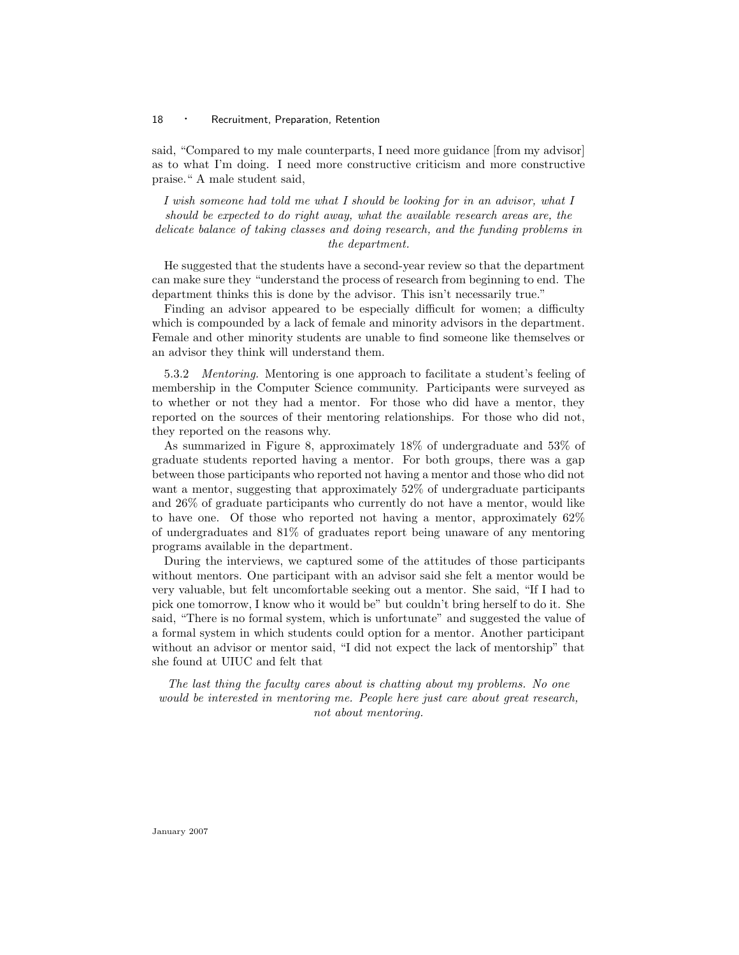said, "Compared to my male counterparts, I need more guidance [from my advisor] as to what I'm doing. I need more constructive criticism and more constructive praise." A male student said,

I wish someone had told me what I should be looking for in an advisor, what I should be expected to do right away, what the available research areas are, the delicate balance of taking classes and doing research, and the funding problems in the department.

He suggested that the students have a second-year review so that the department can make sure they "understand the process of research from beginning to end. The department thinks this is done by the advisor. This isn't necessarily true."

Finding an advisor appeared to be especially difficult for women; a difficulty which is compounded by a lack of female and minority advisors in the department. Female and other minority students are unable to find someone like themselves or an advisor they think will understand them.

5.3.2 Mentoring. Mentoring is one approach to facilitate a student's feeling of membership in the Computer Science community. Participants were surveyed as to whether or not they had a mentor. For those who did have a mentor, they reported on the sources of their mentoring relationships. For those who did not, they reported on the reasons why.

As summarized in Figure 8, approximately 18% of undergraduate and 53% of graduate students reported having a mentor. For both groups, there was a gap between those participants who reported not having a mentor and those who did not want a mentor, suggesting that approximately 52% of undergraduate participants and 26% of graduate participants who currently do not have a mentor, would like to have one. Of those who reported not having a mentor, approximately 62% of undergraduates and 81% of graduates report being unaware of any mentoring programs available in the department.

During the interviews, we captured some of the attitudes of those participants without mentors. One participant with an advisor said she felt a mentor would be very valuable, but felt uncomfortable seeking out a mentor. She said, "If I had to pick one tomorrow, I know who it would be" but couldn't bring herself to do it. She said, "There is no formal system, which is unfortunate" and suggested the value of a formal system in which students could option for a mentor. Another participant without an advisor or mentor said, "I did not expect the lack of mentorship" that she found at UIUC and felt that

The last thing the faculty cares about is chatting about my problems. No one would be interested in mentoring me. People here just care about great research, not about mentoring.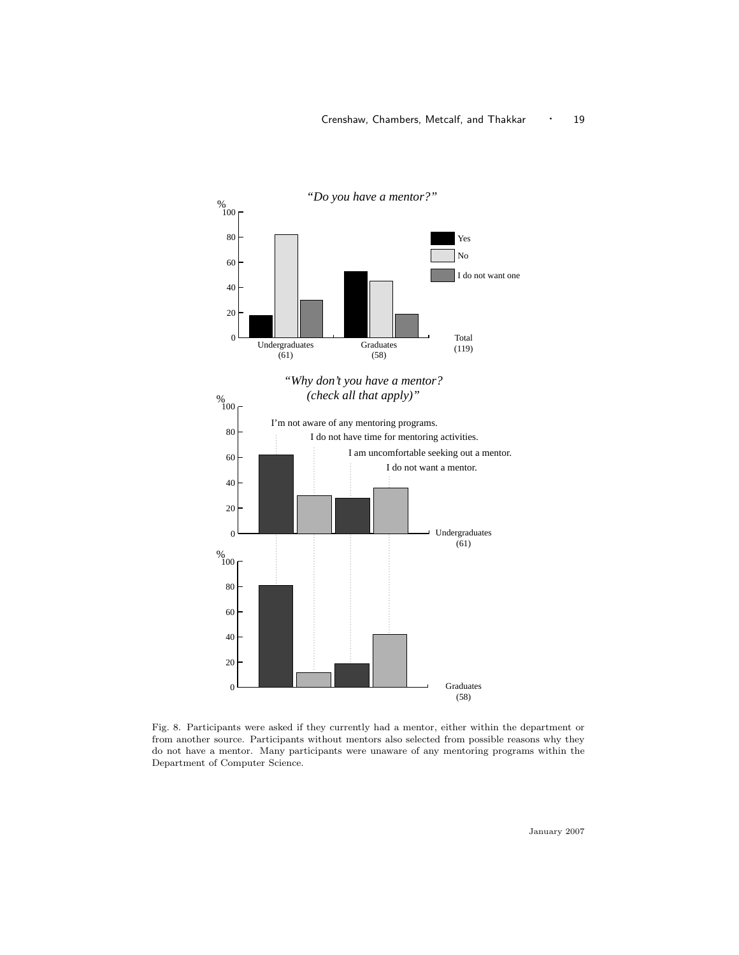

Fig. 8. Participants were asked if they currently had a mentor, either within the department or from another source. Participants without mentors also selected from possible reasons why they do not have a mentor. Many participants were unaware of any mentoring programs within the Department of Computer Science.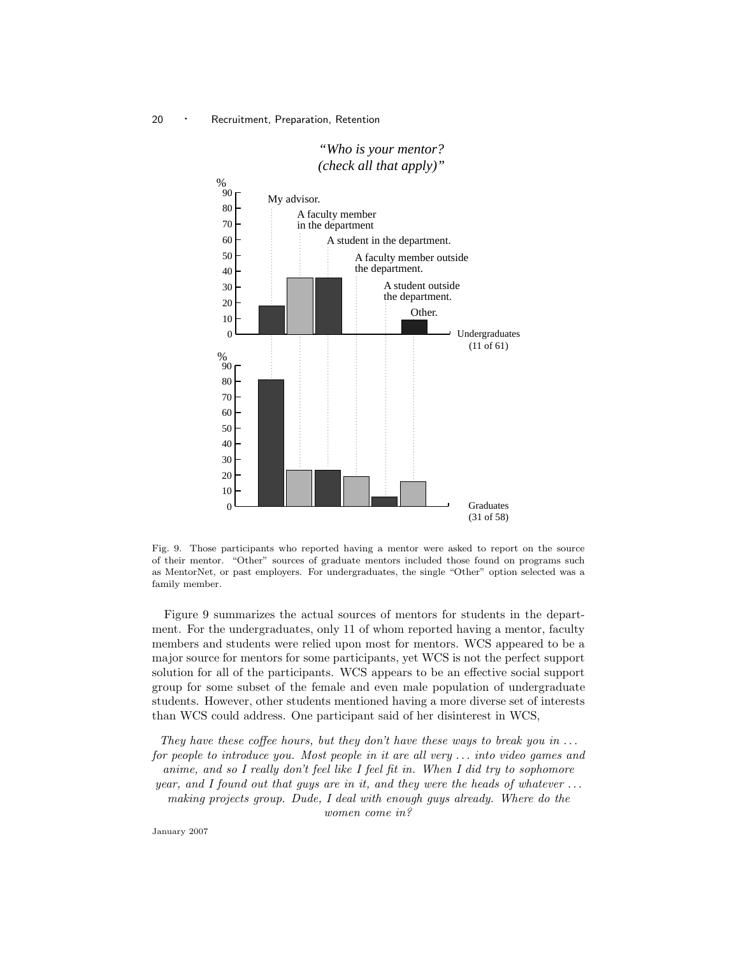

# *"Who is your mentor? (check all that apply)"*

Fig. 9. Those participants who reported having a mentor were asked to report on the source of their mentor. "Other" sources of graduate mentors included those found on programs such as MentorNet, or past employers. For undergraduates, the single "Other" option selected was a family member.

Figure 9 summarizes the actual sources of mentors for students in the department. For the undergraduates, only 11 of whom reported having a mentor, faculty members and students were relied upon most for mentors. WCS appeared to be a major source for mentors for some participants, yet WCS is not the perfect support solution for all of the participants. WCS appears to be an effective social support group for some subset of the female and even male population of undergraduate students. However, other students mentioned having a more diverse set of interests than WCS could address. One participant said of her disinterest in WCS,

They have these coffee hours, but they don't have these ways to break you in  $\dots$ for people to introduce you. Most people in it are all very . . . into video games and anime, and so I really don't feel like I feel fit in. When I did try to sophomore year, and I found out that guys are in it, and they were the heads of whatever  $\dots$ making projects group. Dude, I deal with enough guys already. Where do the women come in?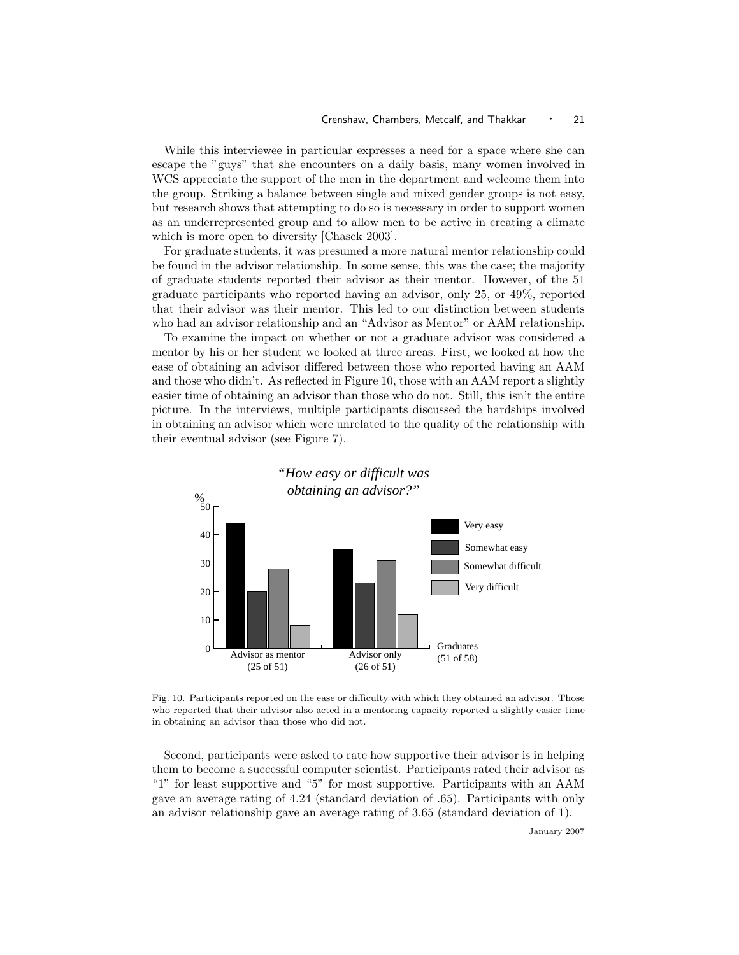While this interviewee in particular expresses a need for a space where she can escape the "guys" that she encounters on a daily basis, many women involved in WCS appreciate the support of the men in the department and welcome them into the group. Striking a balance between single and mixed gender groups is not easy, but research shows that attempting to do so is necessary in order to support women as an underrepresented group and to allow men to be active in creating a climate which is more open to diversity [Chasek 2003].

For graduate students, it was presumed a more natural mentor relationship could be found in the advisor relationship. In some sense, this was the case; the majority of graduate students reported their advisor as their mentor. However, of the 51 graduate participants who reported having an advisor, only 25, or 49%, reported that their advisor was their mentor. This led to our distinction between students who had an advisor relationship and an "Advisor as Mentor" or AAM relationship.

To examine the impact on whether or not a graduate advisor was considered a mentor by his or her student we looked at three areas. First, we looked at how the ease of obtaining an advisor differed between those who reported having an AAM and those who didn't. As reflected in Figure 10, those with an AAM report a slightly easier time of obtaining an advisor than those who do not. Still, this isn't the entire picture. In the interviews, multiple participants discussed the hardships involved in obtaining an advisor which were unrelated to the quality of the relationship with their eventual advisor (see Figure 7).



Fig. 10. Participants reported on the ease or difficulty with which they obtained an advisor. Those who reported that their advisor also acted in a mentoring capacity reported a slightly easier time in obtaining an advisor than those who did not.

Second, participants were asked to rate how supportive their advisor is in helping them to become a successful computer scientist. Participants rated their advisor as "1" for least supportive and "5" for most supportive. Participants with an AAM gave an average rating of 4.24 (standard deviation of .65). Participants with only an advisor relationship gave an average rating of 3.65 (standard deviation of 1).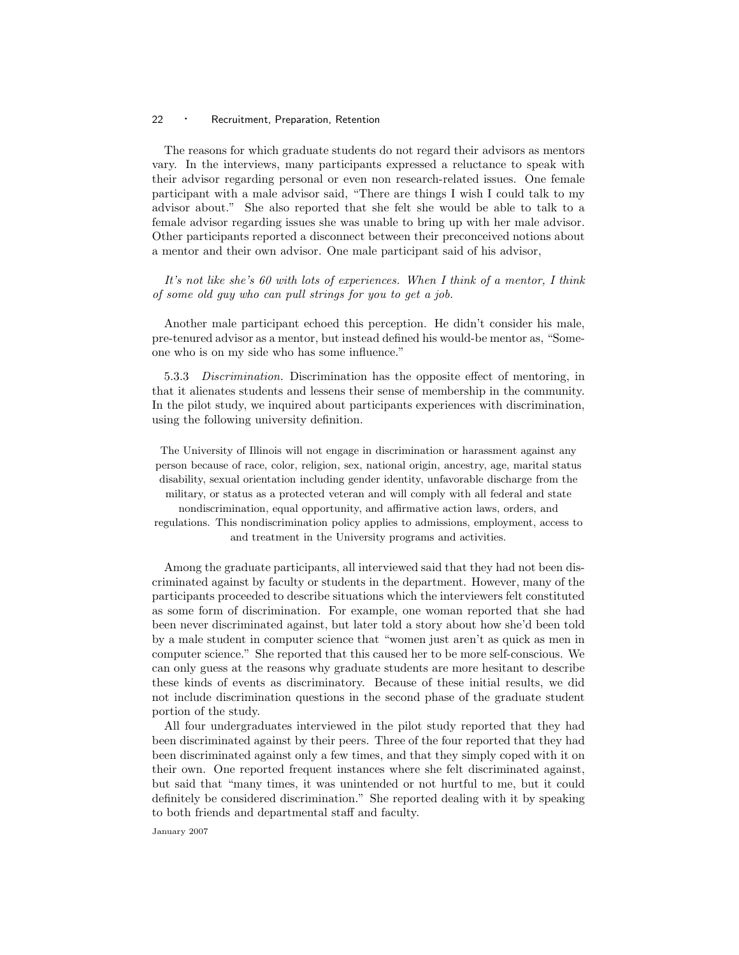The reasons for which graduate students do not regard their advisors as mentors vary. In the interviews, many participants expressed a reluctance to speak with their advisor regarding personal or even non research-related issues. One female participant with a male advisor said, "There are things I wish I could talk to my advisor about." She also reported that she felt she would be able to talk to a female advisor regarding issues she was unable to bring up with her male advisor. Other participants reported a disconnect between their preconceived notions about a mentor and their own advisor. One male participant said of his advisor,

It's not like she's 60 with lots of experiences. When I think of a mentor, I think of some old guy who can pull strings for you to get a job.

Another male participant echoed this perception. He didn't consider his male, pre-tenured advisor as a mentor, but instead defined his would-be mentor as, "Someone who is on my side who has some influence."

5.3.3 Discrimination. Discrimination has the opposite effect of mentoring, in that it alienates students and lessens their sense of membership in the community. In the pilot study, we inquired about participants experiences with discrimination, using the following university definition.

The University of Illinois will not engage in discrimination or harassment against any person because of race, color, religion, sex, national origin, ancestry, age, marital status disability, sexual orientation including gender identity, unfavorable discharge from the military, or status as a protected veteran and will comply with all federal and state nondiscrimination, equal opportunity, and affirmative action laws, orders, and regulations. This nondiscrimination policy applies to admissions, employment, access to and treatment in the University programs and activities.

Among the graduate participants, all interviewed said that they had not been discriminated against by faculty or students in the department. However, many of the participants proceeded to describe situations which the interviewers felt constituted as some form of discrimination. For example, one woman reported that she had been never discriminated against, but later told a story about how she'd been told by a male student in computer science that "women just aren't as quick as men in computer science." She reported that this caused her to be more self-conscious. We can only guess at the reasons why graduate students are more hesitant to describe these kinds of events as discriminatory. Because of these initial results, we did not include discrimination questions in the second phase of the graduate student portion of the study.

All four undergraduates interviewed in the pilot study reported that they had been discriminated against by their peers. Three of the four reported that they had been discriminated against only a few times, and that they simply coped with it on their own. One reported frequent instances where she felt discriminated against, but said that "many times, it was unintended or not hurtful to me, but it could definitely be considered discrimination." She reported dealing with it by speaking to both friends and departmental staff and faculty.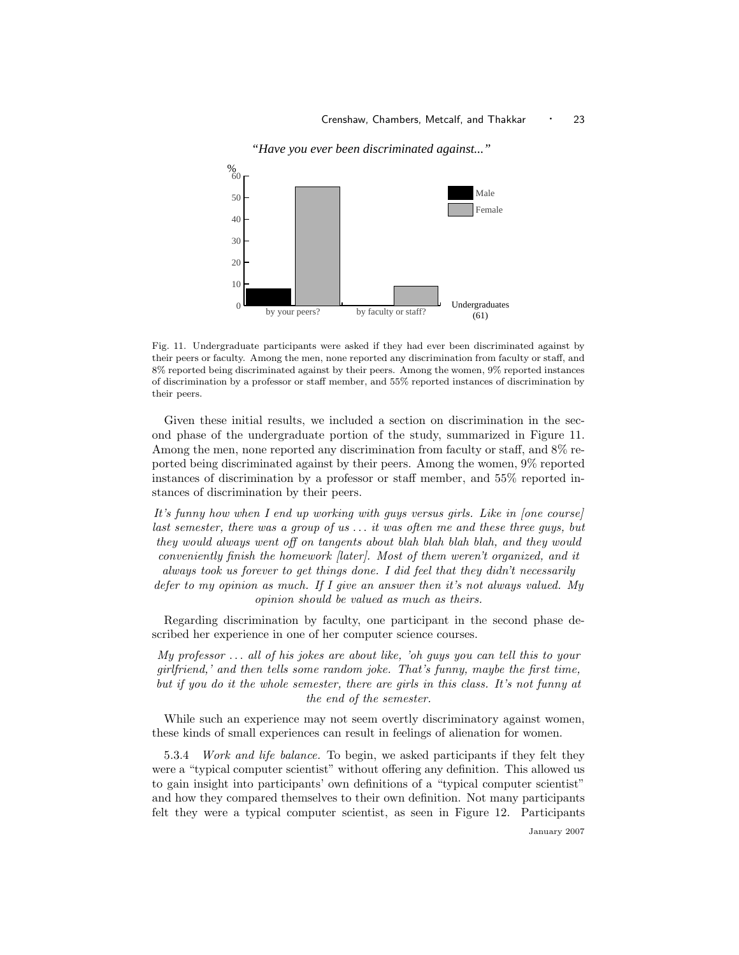

*"Have you ever been discriminated against..."*

Given these initial results, we included a section on discrimination in the second phase of the undergraduate portion of the study, summarized in Figure 11. Among the men, none reported any discrimination from faculty or staff, and 8% reported being discriminated against by their peers. Among the women, 9% reported instances of discrimination by a professor or staff member, and 55% reported instances of discrimination by their peers.

It's funny how when I end up working with guys versus girls. Like in [one course] last semester, there was a group of us . . . it was often me and these three guys, but they would always went off on tangents about blah blah blah blah, and they would conveniently finish the homework [later]. Most of them weren't organized, and it always took us forever to get things done. I did feel that they didn't necessarily defer to my opinion as much. If I give an answer then it's not always valued. My opinion should be valued as much as theirs.

Regarding discrimination by faculty, one participant in the second phase described her experience in one of her computer science courses.

My professor  $\dots$  all of his jokes are about like, 'oh guys you can tell this to your girlfriend,' and then tells some random joke. That's funny, maybe the first time, but if you do it the whole semester, there are girls in this class. It's not funny at the end of the semester.

While such an experience may not seem overtly discriminatory against women, these kinds of small experiences can result in feelings of alienation for women.

5.3.4 Work and life balance. To begin, we asked participants if they felt they were a "typical computer scientist" without offering any definition. This allowed us to gain insight into participants' own definitions of a "typical computer scientist" and how they compared themselves to their own definition. Not many participants felt they were a typical computer scientist, as seen in Figure 12. Participants

Fig. 11. Undergraduate participants were asked if they had ever been discriminated against by their peers or faculty. Among the men, none reported any discrimination from faculty or staff, and 8% reported being discriminated against by their peers. Among the women, 9% reported instances of discrimination by a professor or staff member, and 55% reported instances of discrimination by their peers.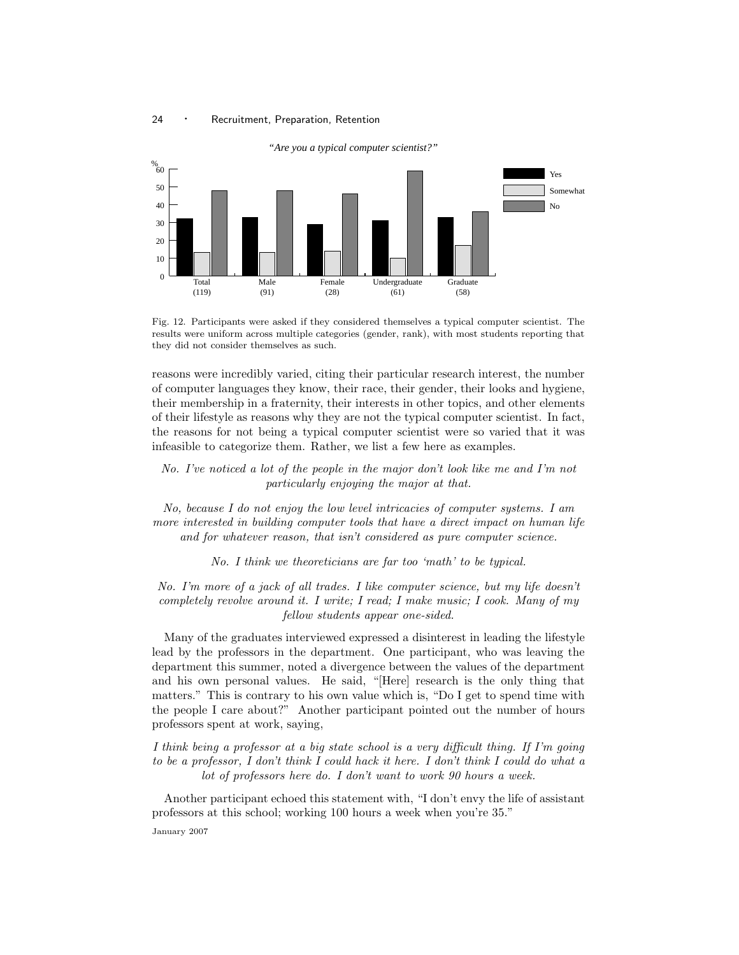

Fig. 12. Participants were asked if they considered themselves a typical computer scientist. The results were uniform across multiple categories (gender, rank), with most students reporting that they did not consider themselves as such.

reasons were incredibly varied, citing their particular research interest, the number of computer languages they know, their race, their gender, their looks and hygiene, their membership in a fraternity, their interests in other topics, and other elements of their lifestyle as reasons why they are not the typical computer scientist. In fact, the reasons for not being a typical computer scientist were so varied that it was infeasible to categorize them. Rather, we list a few here as examples.

No. I've noticed a lot of the people in the major don't look like me and I'm not particularly enjoying the major at that.

No, because I do not enjoy the low level intricacies of computer systems. I am more interested in building computer tools that have a direct impact on human life and for whatever reason, that isn't considered as pure computer science.

No. I think we theoreticians are far too 'math' to be typical.

No. I'm more of a jack of all trades. I like computer science, but my life doesn't completely revolve around it. I write; I read; I make music; I cook. Many of my fellow students appear one-sided.

Many of the graduates interviewed expressed a disinterest in leading the lifestyle lead by the professors in the department. One participant, who was leaving the department this summer, noted a divergence between the values of the department and his own personal values. He said, "[Here] research is the only thing that matters." This is contrary to his own value which is, "Do I get to spend time with the people I care about?" Another participant pointed out the number of hours professors spent at work, saying,

I think being a professor at a big state school is a very difficult thing. If I'm going to be a professor, I don't think I could hack it here. I don't think I could do what a lot of professors here do. I don't want to work 90 hours a week.

Another participant echoed this statement with, "I don't envy the life of assistant professors at this school; working 100 hours a week when you're 35."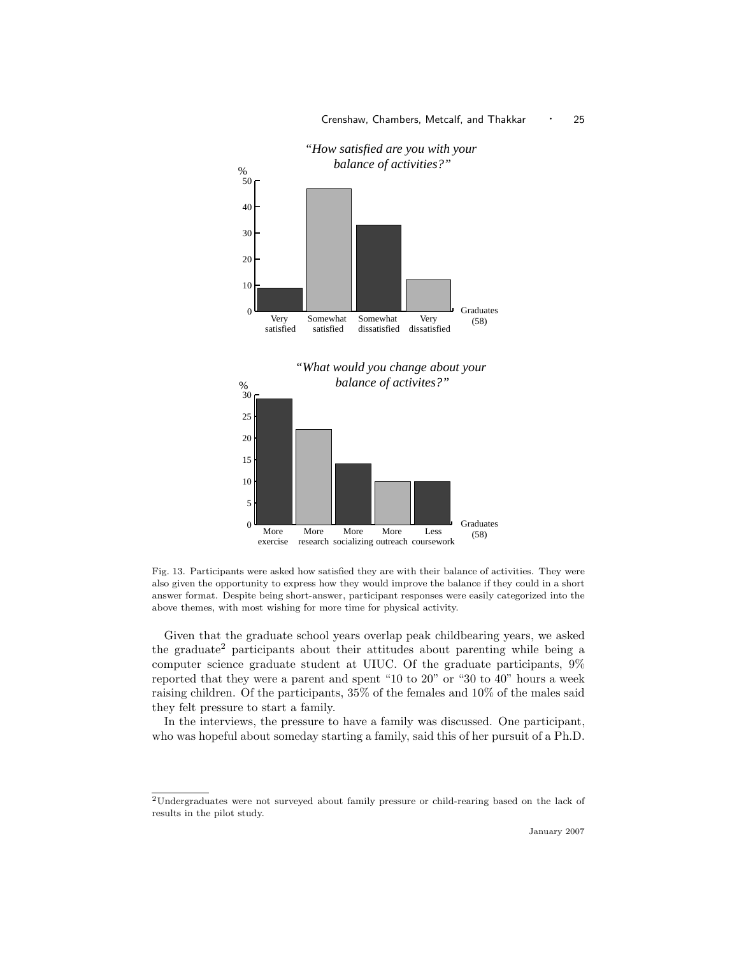

# *"How satisfied are you with your balance of activities?"*



Fig. 13. Participants were asked how satisfied they are with their balance of activities. They were also given the opportunity to express how they would improve the balance if they could in a short answer format. Despite being short-answer, participant responses were easily categorized into the above themes, with most wishing for more time for physical activity.

Given that the graduate school years overlap peak childbearing years, we asked the graduate<sup>2</sup> participants about their attitudes about parenting while being a computer science graduate student at UIUC. Of the graduate participants, 9% reported that they were a parent and spent "10 to 20" or "30 to 40" hours a week raising children. Of the participants, 35% of the females and 10% of the males said they felt pressure to start a family.

In the interviews, the pressure to have a family was discussed. One participant, who was hopeful about someday starting a family, said this of her pursuit of a Ph.D.

 $\rm ^2$  Undergraduates were not surveyed about family pressure or child-rearing based on the lack of results in the pilot study.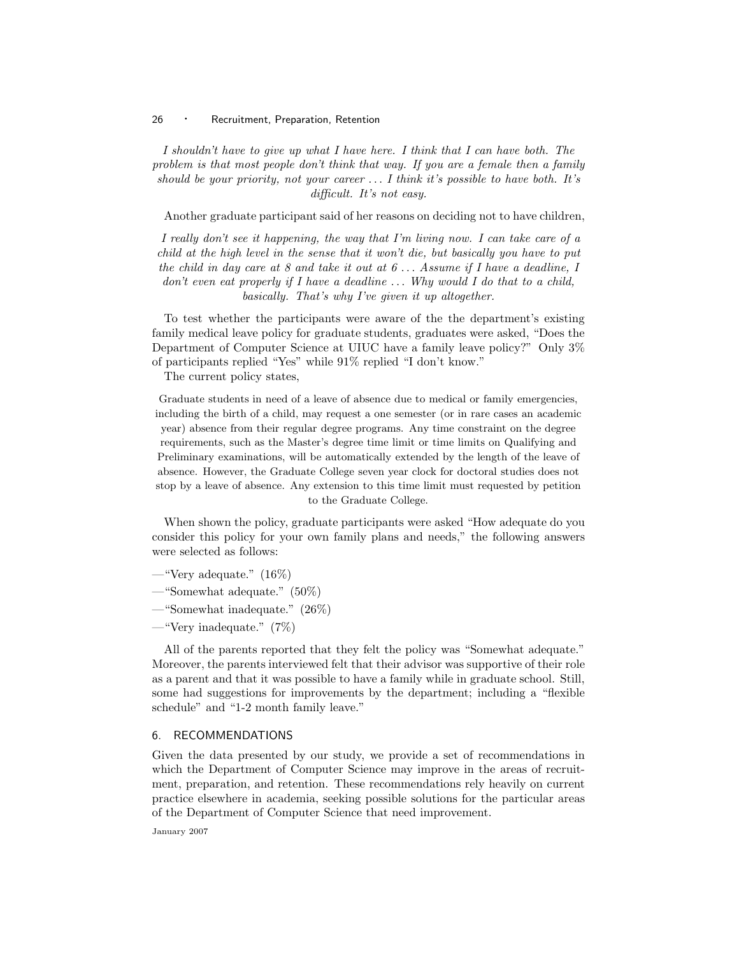I shouldn't have to give up what I have here. I think that I can have both. The problem is that most people don't think that way. If you are a female then a family should be your priority, not your career  $\dots$  I think it's possible to have both. It's difficult. It's not easy.

Another graduate participant said of her reasons on deciding not to have children,

I really don't see it happening, the way that I'm living now. I can take care of a child at the high level in the sense that it won't die, but basically you have to put the child in day care at 8 and take it out at  $6 \ldots$  Assume if I have a deadline. I don't even eat properly if I have a deadline  $\dots$ . Why would I do that to a child, basically. That's why I've given it up altogether.

To test whether the participants were aware of the the department's existing family medical leave policy for graduate students, graduates were asked, "Does the Department of Computer Science at UIUC have a family leave policy?" Only 3% of participants replied "Yes" while 91% replied "I don't know."

The current policy states,

Graduate students in need of a leave of absence due to medical or family emergencies, including the birth of a child, may request a one semester (or in rare cases an academic year) absence from their regular degree programs. Any time constraint on the degree requirements, such as the Master's degree time limit or time limits on Qualifying and Preliminary examinations, will be automatically extended by the length of the leave of absence. However, the Graduate College seven year clock for doctoral studies does not stop by a leave of absence. Any extension to this time limit must requested by petition to the Graduate College.

When shown the policy, graduate participants were asked "How adequate do you consider this policy for your own family plans and needs," the following answers were selected as follows:

- —"Very adequate." (16%)
- —"Somewhat adequate." (50%)
- —"Somewhat inadequate." (26%)
- —"Very inadequate." (7%)

All of the parents reported that they felt the policy was "Somewhat adequate." Moreover, the parents interviewed felt that their advisor was supportive of their role as a parent and that it was possible to have a family while in graduate school. Still, some had suggestions for improvements by the department; including a "flexible schedule" and "1-2 month family leave."

# 6. RECOMMENDATIONS

Given the data presented by our study, we provide a set of recommendations in which the Department of Computer Science may improve in the areas of recruitment, preparation, and retention. These recommendations rely heavily on current practice elsewhere in academia, seeking possible solutions for the particular areas of the Department of Computer Science that need improvement.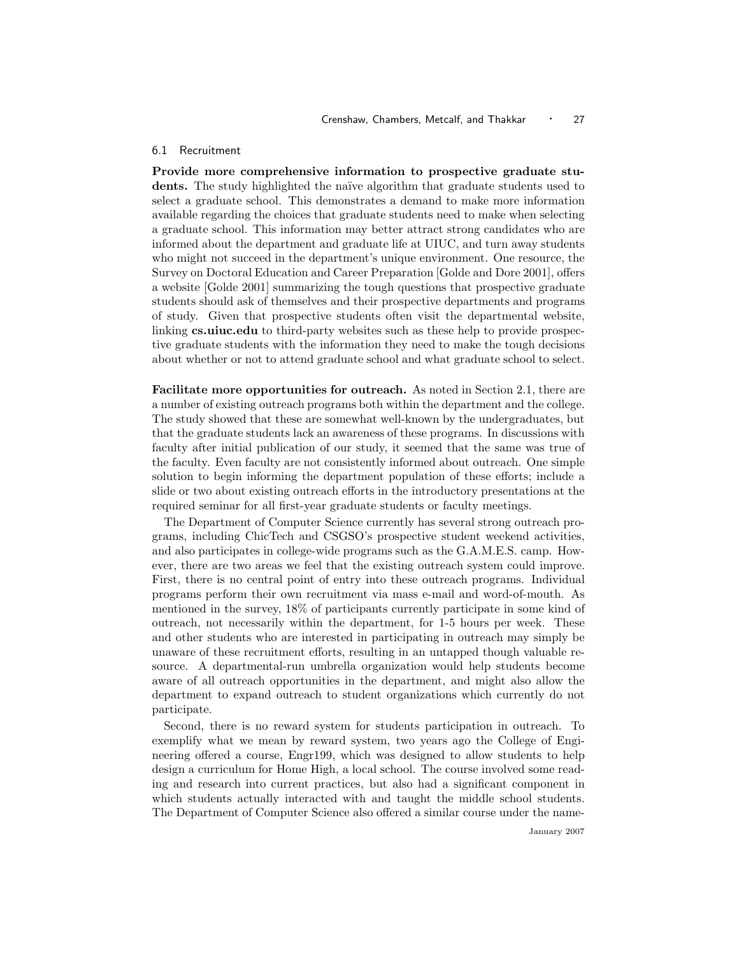#### 6.1 Recruitment

Provide more comprehensive information to prospective graduate students. The study highlighted the na¨ıve algorithm that graduate students used to select a graduate school. This demonstrates a demand to make more information available regarding the choices that graduate students need to make when selecting a graduate school. This information may better attract strong candidates who are informed about the department and graduate life at UIUC, and turn away students who might not succeed in the department's unique environment. One resource, the Survey on Doctoral Education and Career Preparation [Golde and Dore 2001], offers a website [Golde 2001] summarizing the tough questions that prospective graduate students should ask of themselves and their prospective departments and programs of study. Given that prospective students often visit the departmental website, linking **cs.uiuc.edu** to third-party websites such as these help to provide prospective graduate students with the information they need to make the tough decisions about whether or not to attend graduate school and what graduate school to select.

Facilitate more opportunities for outreach. As noted in Section 2.1, there are a number of existing outreach programs both within the department and the college. The study showed that these are somewhat well-known by the undergraduates, but that the graduate students lack an awareness of these programs. In discussions with faculty after initial publication of our study, it seemed that the same was true of the faculty. Even faculty are not consistently informed about outreach. One simple solution to begin informing the department population of these efforts; include a slide or two about existing outreach efforts in the introductory presentations at the required seminar for all first-year graduate students or faculty meetings.

The Department of Computer Science currently has several strong outreach programs, including ChicTech and CSGSO's prospective student weekend activities, and also participates in college-wide programs such as the G.A.M.E.S. camp. However, there are two areas we feel that the existing outreach system could improve. First, there is no central point of entry into these outreach programs. Individual programs perform their own recruitment via mass e-mail and word-of-mouth. As mentioned in the survey, 18% of participants currently participate in some kind of outreach, not necessarily within the department, for 1-5 hours per week. These and other students who are interested in participating in outreach may simply be unaware of these recruitment efforts, resulting in an untapped though valuable resource. A departmental-run umbrella organization would help students become aware of all outreach opportunities in the department, and might also allow the department to expand outreach to student organizations which currently do not participate.

Second, there is no reward system for students participation in outreach. To exemplify what we mean by reward system, two years ago the College of Engineering offered a course, Engr199, which was designed to allow students to help design a curriculum for Home High, a local school. The course involved some reading and research into current practices, but also had a significant component in which students actually interacted with and taught the middle school students. The Department of Computer Science also offered a similar course under the name-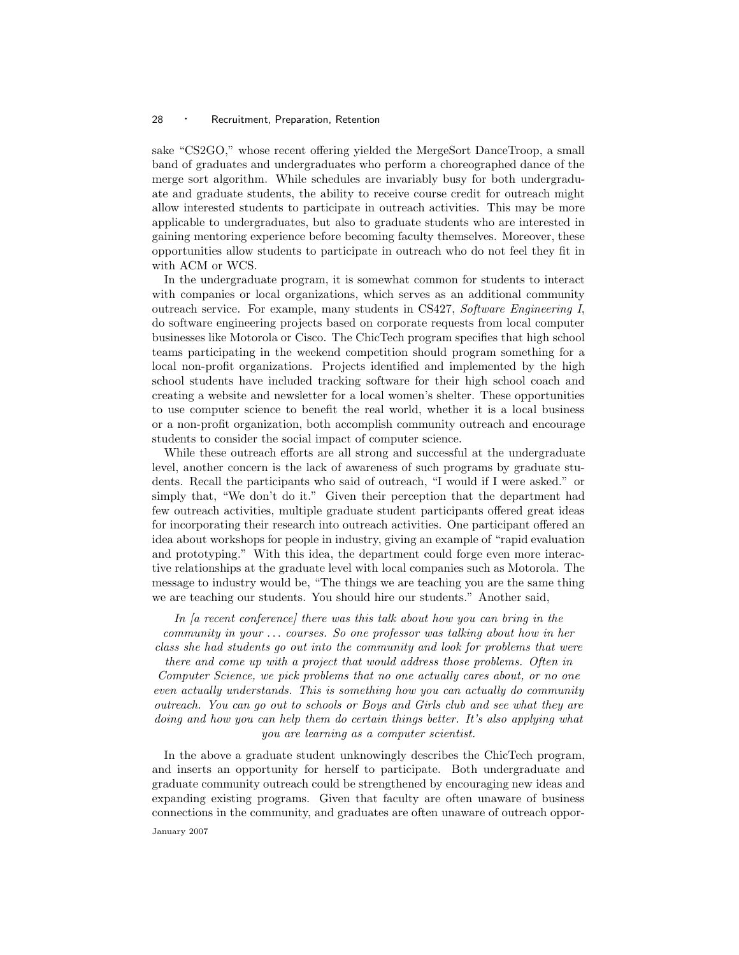sake "CS2GO," whose recent offering yielded the MergeSort DanceTroop, a small band of graduates and undergraduates who perform a choreographed dance of the merge sort algorithm. While schedules are invariably busy for both undergraduate and graduate students, the ability to receive course credit for outreach might allow interested students to participate in outreach activities. This may be more applicable to undergraduates, but also to graduate students who are interested in gaining mentoring experience before becoming faculty themselves. Moreover, these opportunities allow students to participate in outreach who do not feel they fit in with ACM or WCS.

In the undergraduate program, it is somewhat common for students to interact with companies or local organizations, which serves as an additional community outreach service. For example, many students in CS427, Software Engineering I, do software engineering projects based on corporate requests from local computer businesses like Motorola or Cisco. The ChicTech program specifies that high school teams participating in the weekend competition should program something for a local non-profit organizations. Projects identified and implemented by the high school students have included tracking software for their high school coach and creating a website and newsletter for a local women's shelter. These opportunities to use computer science to benefit the real world, whether it is a local business or a non-profit organization, both accomplish community outreach and encourage students to consider the social impact of computer science.

While these outreach efforts are all strong and successful at the undergraduate level, another concern is the lack of awareness of such programs by graduate students. Recall the participants who said of outreach, "I would if I were asked." or simply that, "We don't do it." Given their perception that the department had few outreach activities, multiple graduate student participants offered great ideas for incorporating their research into outreach activities. One participant offered an idea about workshops for people in industry, giving an example of "rapid evaluation and prototyping." With this idea, the department could forge even more interactive relationships at the graduate level with local companies such as Motorola. The message to industry would be, "The things we are teaching you are the same thing we are teaching our students. You should hire our students." Another said,

In *[a recent conference]* there was this talk about how you can bring in the community in your . . . courses. So one professor was talking about how in her class she had students go out into the community and look for problems that were

there and come up with a project that would address those problems. Often in Computer Science, we pick problems that no one actually cares about, or no one even actually understands. This is something how you can actually do community outreach. You can go out to schools or Boys and Girls club and see what they are doing and how you can help them do certain things better. It's also applying what you are learning as a computer scientist.

In the above a graduate student unknowingly describes the ChicTech program, and inserts an opportunity for herself to participate. Both undergraduate and graduate community outreach could be strengthened by encouraging new ideas and expanding existing programs. Given that faculty are often unaware of business connections in the community, and graduates are often unaware of outreach oppor-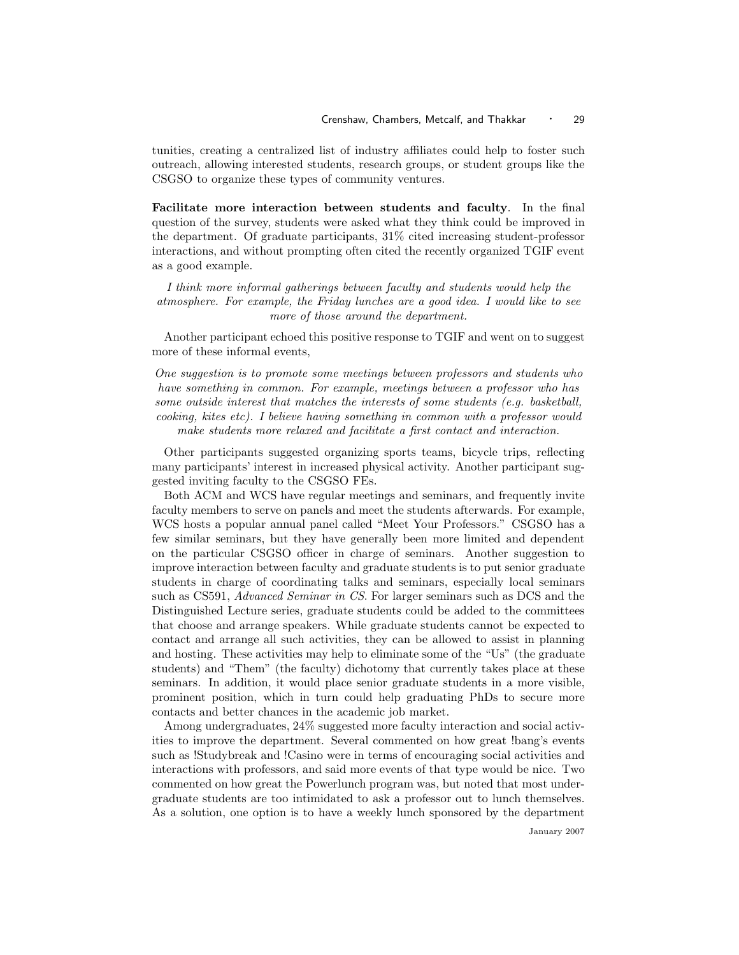tunities, creating a centralized list of industry affiliates could help to foster such outreach, allowing interested students, research groups, or student groups like the CSGSO to organize these types of community ventures.

Facilitate more interaction between students and faculty. In the final question of the survey, students were asked what they think could be improved in the department. Of graduate participants, 31% cited increasing student-professor interactions, and without prompting often cited the recently organized TGIF event as a good example.

I think more informal gatherings between faculty and students would help the atmosphere. For example, the Friday lunches are a good idea. I would like to see more of those around the department.

Another participant echoed this positive response to TGIF and went on to suggest more of these informal events,

One suggestion is to promote some meetings between professors and students who have something in common. For example, meetings between a professor who has some outside interest that matches the interests of some students (e.g. basketball, cooking, kites etc). I believe having something in common with a professor would make students more relaxed and facilitate a first contact and interaction.

Other participants suggested organizing sports teams, bicycle trips, reflecting many participants' interest in increased physical activity. Another participant suggested inviting faculty to the CSGSO FEs.

Both ACM and WCS have regular meetings and seminars, and frequently invite faculty members to serve on panels and meet the students afterwards. For example, WCS hosts a popular annual panel called "Meet Your Professors." CSGSO has a few similar seminars, but they have generally been more limited and dependent on the particular CSGSO officer in charge of seminars. Another suggestion to improve interaction between faculty and graduate students is to put senior graduate students in charge of coordinating talks and seminars, especially local seminars such as CS591, Advanced Seminar in CS. For larger seminars such as DCS and the Distinguished Lecture series, graduate students could be added to the committees that choose and arrange speakers. While graduate students cannot be expected to contact and arrange all such activities, they can be allowed to assist in planning and hosting. These activities may help to eliminate some of the "Us" (the graduate students) and "Them" (the faculty) dichotomy that currently takes place at these seminars. In addition, it would place senior graduate students in a more visible, prominent position, which in turn could help graduating PhDs to secure more contacts and better chances in the academic job market.

Among undergraduates, 24% suggested more faculty interaction and social activities to improve the department. Several commented on how great !bang's events such as !Studybreak and !Casino were in terms of encouraging social activities and interactions with professors, and said more events of that type would be nice. Two commented on how great the Powerlunch program was, but noted that most undergraduate students are too intimidated to ask a professor out to lunch themselves. As a solution, one option is to have a weekly lunch sponsored by the department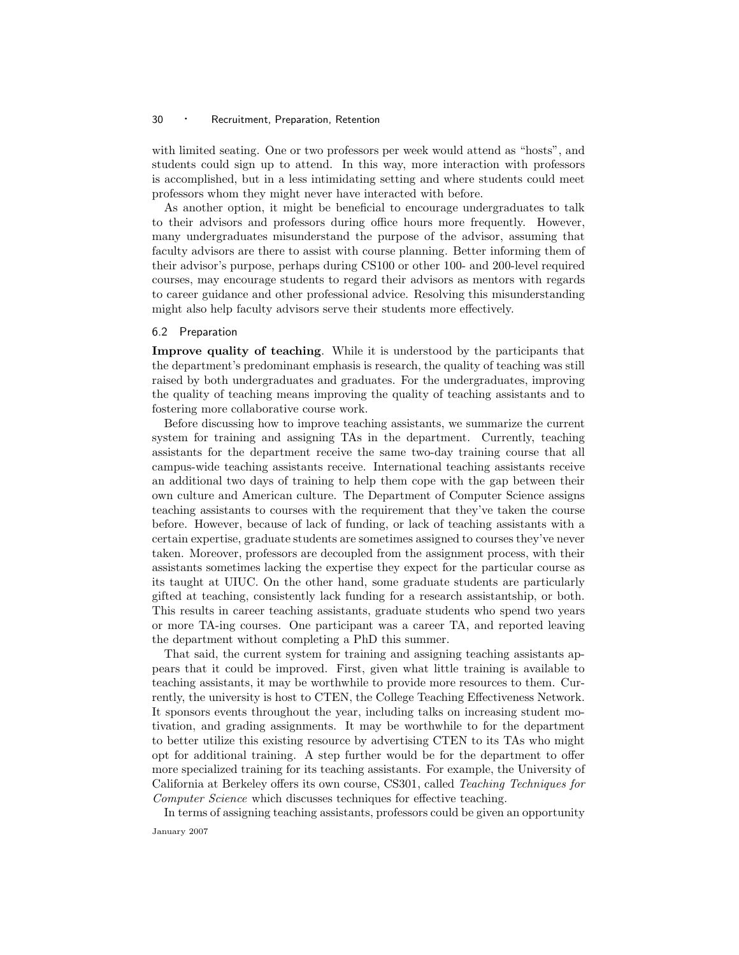with limited seating. One or two professors per week would attend as "hosts", and students could sign up to attend. In this way, more interaction with professors is accomplished, but in a less intimidating setting and where students could meet professors whom they might never have interacted with before.

As another option, it might be beneficial to encourage undergraduates to talk to their advisors and professors during office hours more frequently. However, many undergraduates misunderstand the purpose of the advisor, assuming that faculty advisors are there to assist with course planning. Better informing them of their advisor's purpose, perhaps during CS100 or other 100- and 200-level required courses, may encourage students to regard their advisors as mentors with regards to career guidance and other professional advice. Resolving this misunderstanding might also help faculty advisors serve their students more effectively.

#### 6.2 Preparation

Improve quality of teaching. While it is understood by the participants that the department's predominant emphasis is research, the quality of teaching was still raised by both undergraduates and graduates. For the undergraduates, improving the quality of teaching means improving the quality of teaching assistants and to fostering more collaborative course work.

Before discussing how to improve teaching assistants, we summarize the current system for training and assigning TAs in the department. Currently, teaching assistants for the department receive the same two-day training course that all campus-wide teaching assistants receive. International teaching assistants receive an additional two days of training to help them cope with the gap between their own culture and American culture. The Department of Computer Science assigns teaching assistants to courses with the requirement that they've taken the course before. However, because of lack of funding, or lack of teaching assistants with a certain expertise, graduate students are sometimes assigned to courses they've never taken. Moreover, professors are decoupled from the assignment process, with their assistants sometimes lacking the expertise they expect for the particular course as its taught at UIUC. On the other hand, some graduate students are particularly gifted at teaching, consistently lack funding for a research assistantship, or both. This results in career teaching assistants, graduate students who spend two years or more TA-ing courses. One participant was a career TA, and reported leaving the department without completing a PhD this summer.

That said, the current system for training and assigning teaching assistants appears that it could be improved. First, given what little training is available to teaching assistants, it may be worthwhile to provide more resources to them. Currently, the university is host to CTEN, the College Teaching Effectiveness Network. It sponsors events throughout the year, including talks on increasing student motivation, and grading assignments. It may be worthwhile to for the department to better utilize this existing resource by advertising CTEN to its TAs who might opt for additional training. A step further would be for the department to offer more specialized training for its teaching assistants. For example, the University of California at Berkeley offers its own course, CS301, called Teaching Techniques for Computer Science which discusses techniques for effective teaching.

In terms of assigning teaching assistants, professors could be given an opportunity January 2007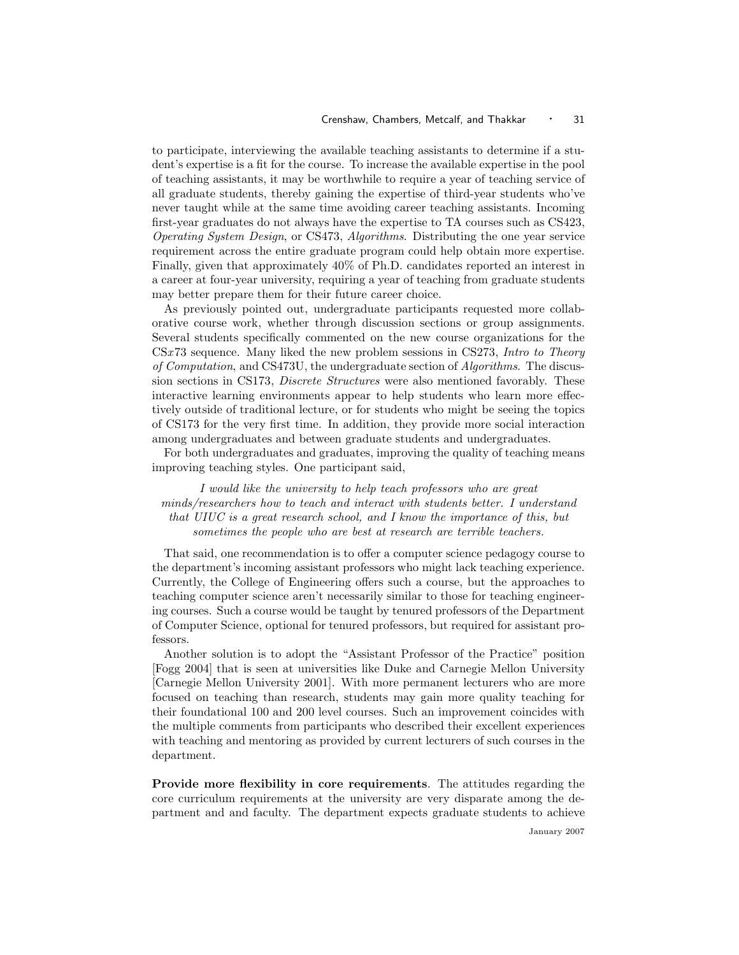to participate, interviewing the available teaching assistants to determine if a student's expertise is a fit for the course. To increase the available expertise in the pool of teaching assistants, it may be worthwhile to require a year of teaching service of all graduate students, thereby gaining the expertise of third-year students who've never taught while at the same time avoiding career teaching assistants. Incoming first-year graduates do not always have the expertise to TA courses such as CS423, Operating System Design, or CS473, Algorithms. Distributing the one year service requirement across the entire graduate program could help obtain more expertise. Finally, given that approximately 40% of Ph.D. candidates reported an interest in a career at four-year university, requiring a year of teaching from graduate students may better prepare them for their future career choice.

As previously pointed out, undergraduate participants requested more collaborative course work, whether through discussion sections or group assignments. Several students specifically commented on the new course organizations for the CSx 73 sequence. Many liked the new problem sessions in CS273, Intro to Theory of Computation, and CS473U, the undergraduate section of Algorithms. The discussion sections in CS173, Discrete Structures were also mentioned favorably. These interactive learning environments appear to help students who learn more effectively outside of traditional lecture, or for students who might be seeing the topics of CS173 for the very first time. In addition, they provide more social interaction among undergraduates and between graduate students and undergraduates.

For both undergraduates and graduates, improving the quality of teaching means improving teaching styles. One participant said,

I would like the university to help teach professors who are great minds/researchers how to teach and interact with students better. I understand that UIUC is a great research school, and I know the importance of this, but sometimes the people who are best at research are terrible teachers.

That said, one recommendation is to offer a computer science pedagogy course to the department's incoming assistant professors who might lack teaching experience. Currently, the College of Engineering offers such a course, but the approaches to teaching computer science aren't necessarily similar to those for teaching engineering courses. Such a course would be taught by tenured professors of the Department of Computer Science, optional for tenured professors, but required for assistant professors.

Another solution is to adopt the "Assistant Professor of the Practice" position [Fogg 2004] that is seen at universities like Duke and Carnegie Mellon University [Carnegie Mellon University 2001]. With more permanent lecturers who are more focused on teaching than research, students may gain more quality teaching for their foundational 100 and 200 level courses. Such an improvement coincides with the multiple comments from participants who described their excellent experiences with teaching and mentoring as provided by current lecturers of such courses in the department.

Provide more flexibility in core requirements. The attitudes regarding the core curriculum requirements at the university are very disparate among the department and and faculty. The department expects graduate students to achieve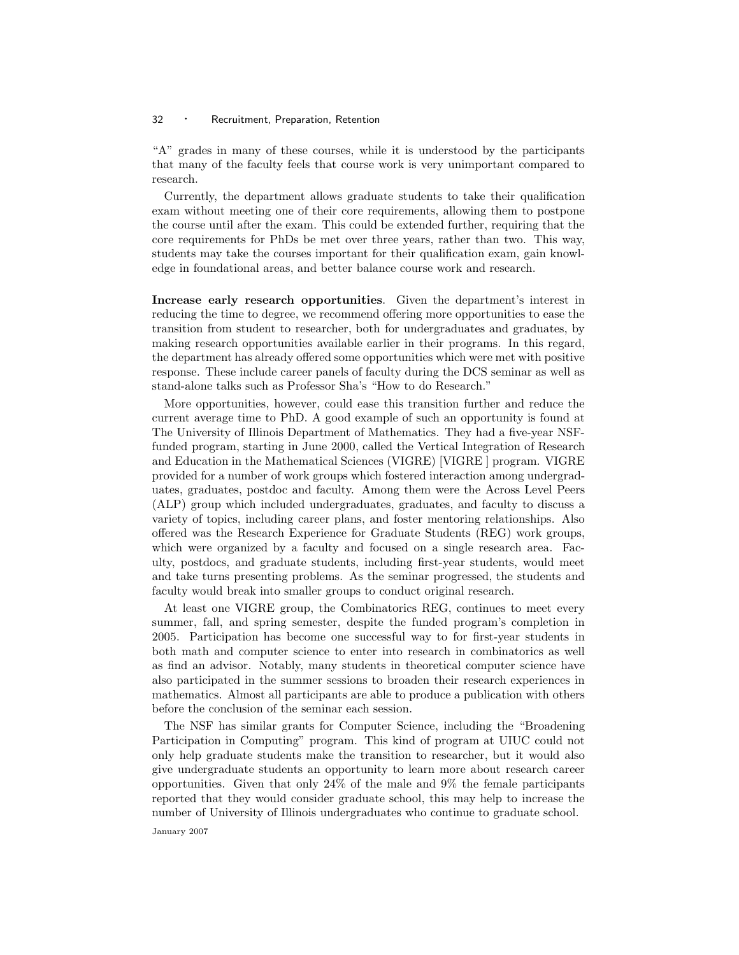"A" grades in many of these courses, while it is understood by the participants that many of the faculty feels that course work is very unimportant compared to research.

Currently, the department allows graduate students to take their qualification exam without meeting one of their core requirements, allowing them to postpone the course until after the exam. This could be extended further, requiring that the core requirements for PhDs be met over three years, rather than two. This way, students may take the courses important for their qualification exam, gain knowledge in foundational areas, and better balance course work and research.

Increase early research opportunities. Given the department's interest in reducing the time to degree, we recommend offering more opportunities to ease the transition from student to researcher, both for undergraduates and graduates, by making research opportunities available earlier in their programs. In this regard, the department has already offered some opportunities which were met with positive response. These include career panels of faculty during the DCS seminar as well as stand-alone talks such as Professor Sha's "How to do Research."

More opportunities, however, could ease this transition further and reduce the current average time to PhD. A good example of such an opportunity is found at The University of Illinois Department of Mathematics. They had a five-year NSFfunded program, starting in June 2000, called the Vertical Integration of Research and Education in the Mathematical Sciences (VIGRE) [VIGRE ] program. VIGRE provided for a number of work groups which fostered interaction among undergraduates, graduates, postdoc and faculty. Among them were the Across Level Peers (ALP) group which included undergraduates, graduates, and faculty to discuss a variety of topics, including career plans, and foster mentoring relationships. Also offered was the Research Experience for Graduate Students (REG) work groups, which were organized by a faculty and focused on a single research area. Faculty, postdocs, and graduate students, including first-year students, would meet and take turns presenting problems. As the seminar progressed, the students and faculty would break into smaller groups to conduct original research.

At least one VIGRE group, the Combinatorics REG, continues to meet every summer, fall, and spring semester, despite the funded program's completion in 2005. Participation has become one successful way to for first-year students in both math and computer science to enter into research in combinatorics as well as find an advisor. Notably, many students in theoretical computer science have also participated in the summer sessions to broaden their research experiences in mathematics. Almost all participants are able to produce a publication with others before the conclusion of the seminar each session.

The NSF has similar grants for Computer Science, including the "Broadening Participation in Computing" program. This kind of program at UIUC could not only help graduate students make the transition to researcher, but it would also give undergraduate students an opportunity to learn more about research career opportunities. Given that only 24% of the male and 9% the female participants reported that they would consider graduate school, this may help to increase the number of University of Illinois undergraduates who continue to graduate school.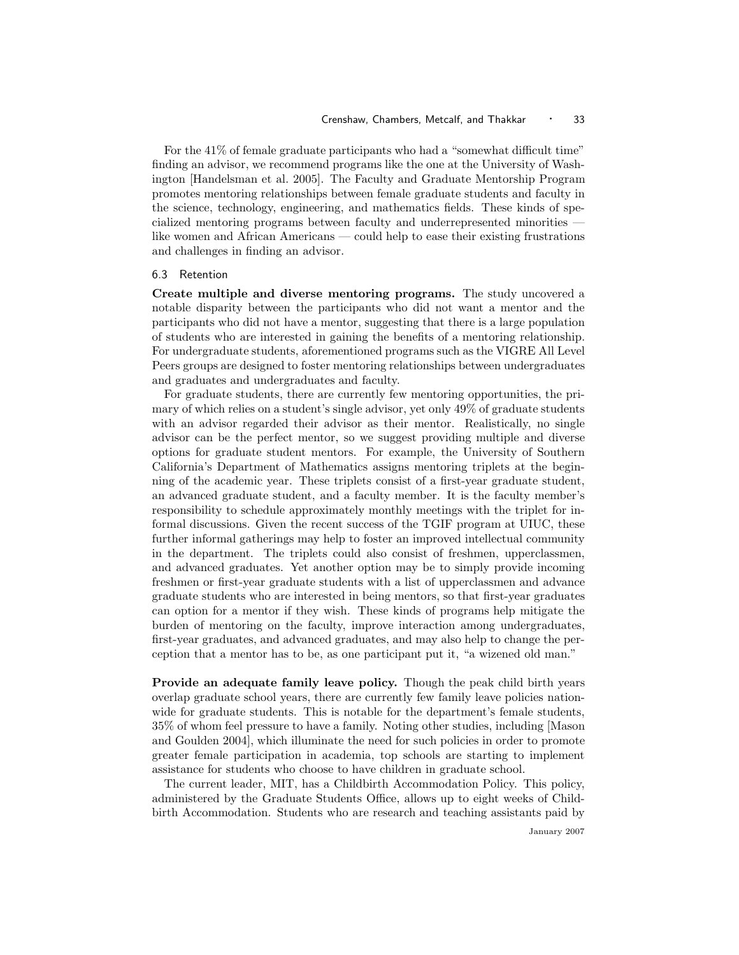For the 41% of female graduate participants who had a "somewhat difficult time" finding an advisor, we recommend programs like the one at the University of Washington [Handelsman et al. 2005]. The Faculty and Graduate Mentorship Program promotes mentoring relationships between female graduate students and faculty in the science, technology, engineering, and mathematics fields. These kinds of specialized mentoring programs between faculty and underrepresented minorities like women and African Americans — could help to ease their existing frustrations and challenges in finding an advisor.

#### 6.3 Retention

Create multiple and diverse mentoring programs. The study uncovered a notable disparity between the participants who did not want a mentor and the participants who did not have a mentor, suggesting that there is a large population of students who are interested in gaining the benefits of a mentoring relationship. For undergraduate students, aforementioned programs such as the VIGRE All Level Peers groups are designed to foster mentoring relationships between undergraduates and graduates and undergraduates and faculty.

For graduate students, there are currently few mentoring opportunities, the primary of which relies on a student's single advisor, yet only 49% of graduate students with an advisor regarded their advisor as their mentor. Realistically, no single advisor can be the perfect mentor, so we suggest providing multiple and diverse options for graduate student mentors. For example, the University of Southern California's Department of Mathematics assigns mentoring triplets at the beginning of the academic year. These triplets consist of a first-year graduate student, an advanced graduate student, and a faculty member. It is the faculty member's responsibility to schedule approximately monthly meetings with the triplet for informal discussions. Given the recent success of the TGIF program at UIUC, these further informal gatherings may help to foster an improved intellectual community in the department. The triplets could also consist of freshmen, upperclassmen, and advanced graduates. Yet another option may be to simply provide incoming freshmen or first-year graduate students with a list of upperclassmen and advance graduate students who are interested in being mentors, so that first-year graduates can option for a mentor if they wish. These kinds of programs help mitigate the burden of mentoring on the faculty, improve interaction among undergraduates, first-year graduates, and advanced graduates, and may also help to change the perception that a mentor has to be, as one participant put it, "a wizened old man."

Provide an adequate family leave policy. Though the peak child birth years overlap graduate school years, there are currently few family leave policies nationwide for graduate students. This is notable for the department's female students, 35% of whom feel pressure to have a family. Noting other studies, including [Mason and Goulden 2004], which illuminate the need for such policies in order to promote greater female participation in academia, top schools are starting to implement assistance for students who choose to have children in graduate school.

The current leader, MIT, has a Childbirth Accommodation Policy. This policy, administered by the Graduate Students Office, allows up to eight weeks of Childbirth Accommodation. Students who are research and teaching assistants paid by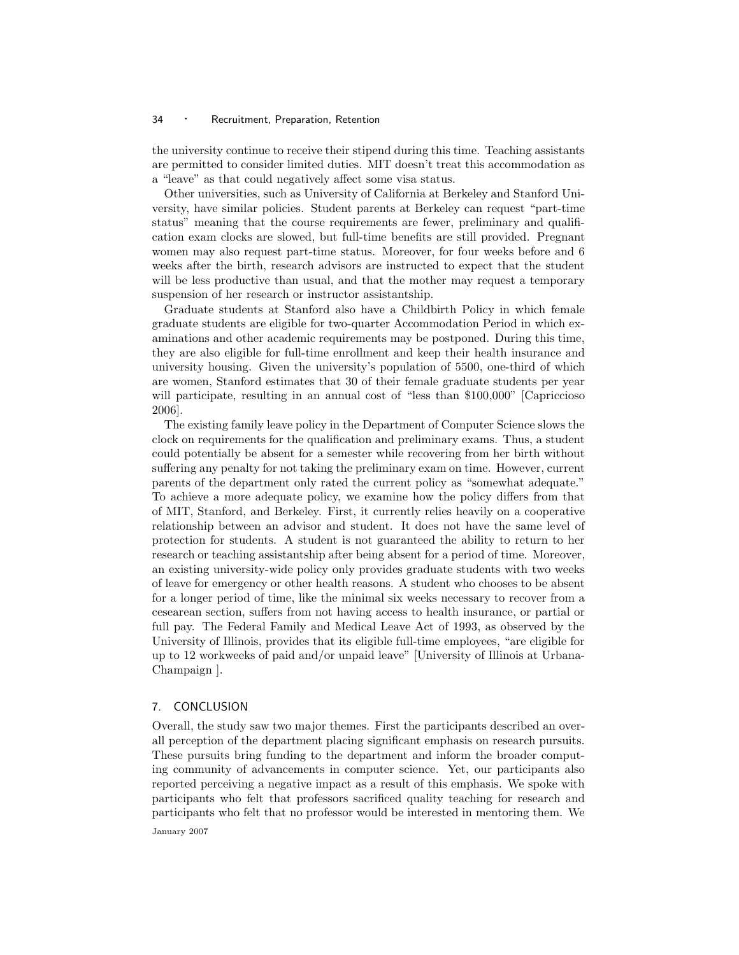the university continue to receive their stipend during this time. Teaching assistants are permitted to consider limited duties. MIT doesn't treat this accommodation as a "leave" as that could negatively affect some visa status.

Other universities, such as University of California at Berkeley and Stanford University, have similar policies. Student parents at Berkeley can request "part-time status" meaning that the course requirements are fewer, preliminary and qualification exam clocks are slowed, but full-time benefits are still provided. Pregnant women may also request part-time status. Moreover, for four weeks before and 6 weeks after the birth, research advisors are instructed to expect that the student will be less productive than usual, and that the mother may request a temporary suspension of her research or instructor assistantship.

Graduate students at Stanford also have a Childbirth Policy in which female graduate students are eligible for two-quarter Accommodation Period in which examinations and other academic requirements may be postponed. During this time, they are also eligible for full-time enrollment and keep their health insurance and university housing. Given the university's population of 5500, one-third of which are women, Stanford estimates that 30 of their female graduate students per year will participate, resulting in an annual cost of "less than \$100,000" [Capriccioso] 2006].

The existing family leave policy in the Department of Computer Science slows the clock on requirements for the qualification and preliminary exams. Thus, a student could potentially be absent for a semester while recovering from her birth without suffering any penalty for not taking the preliminary exam on time. However, current parents of the department only rated the current policy as "somewhat adequate." To achieve a more adequate policy, we examine how the policy differs from that of MIT, Stanford, and Berkeley. First, it currently relies heavily on a cooperative relationship between an advisor and student. It does not have the same level of protection for students. A student is not guaranteed the ability to return to her research or teaching assistantship after being absent for a period of time. Moreover, an existing university-wide policy only provides graduate students with two weeks of leave for emergency or other health reasons. A student who chooses to be absent for a longer period of time, like the minimal six weeks necessary to recover from a cesearean section, suffers from not having access to health insurance, or partial or full pay. The Federal Family and Medical Leave Act of 1993, as observed by the University of Illinois, provides that its eligible full-time employees, "are eligible for up to 12 workweeks of paid and/or unpaid leave" [University of Illinois at Urbana-Champaign ].

## 7. CONCLUSION

Overall, the study saw two major themes. First the participants described an overall perception of the department placing significant emphasis on research pursuits. These pursuits bring funding to the department and inform the broader computing community of advancements in computer science. Yet, our participants also reported perceiving a negative impact as a result of this emphasis. We spoke with participants who felt that professors sacrificed quality teaching for research and participants who felt that no professor would be interested in mentoring them. We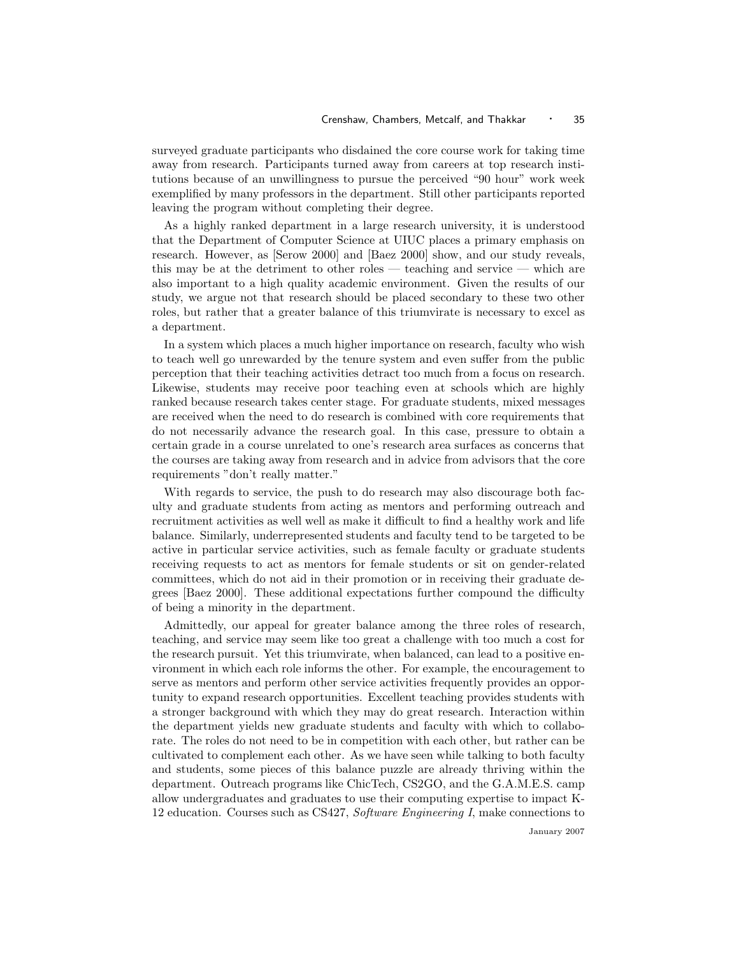surveyed graduate participants who disdained the core course work for taking time away from research. Participants turned away from careers at top research institutions because of an unwillingness to pursue the perceived "90 hour" work week exemplified by many professors in the department. Still other participants reported leaving the program without completing their degree.

As a highly ranked department in a large research university, it is understood that the Department of Computer Science at UIUC places a primary emphasis on research. However, as [Serow 2000] and [Baez 2000] show, and our study reveals, this may be at the detriment to other roles — teaching and service — which are also important to a high quality academic environment. Given the results of our study, we argue not that research should be placed secondary to these two other roles, but rather that a greater balance of this triumvirate is necessary to excel as a department.

In a system which places a much higher importance on research, faculty who wish to teach well go unrewarded by the tenure system and even suffer from the public perception that their teaching activities detract too much from a focus on research. Likewise, students may receive poor teaching even at schools which are highly ranked because research takes center stage. For graduate students, mixed messages are received when the need to do research is combined with core requirements that do not necessarily advance the research goal. In this case, pressure to obtain a certain grade in a course unrelated to one's research area surfaces as concerns that the courses are taking away from research and in advice from advisors that the core requirements "don't really matter."

With regards to service, the push to do research may also discourage both faculty and graduate students from acting as mentors and performing outreach and recruitment activities as well well as make it difficult to find a healthy work and life balance. Similarly, underrepresented students and faculty tend to be targeted to be active in particular service activities, such as female faculty or graduate students receiving requests to act as mentors for female students or sit on gender-related committees, which do not aid in their promotion or in receiving their graduate degrees [Baez 2000]. These additional expectations further compound the difficulty of being a minority in the department.

Admittedly, our appeal for greater balance among the three roles of research, teaching, and service may seem like too great a challenge with too much a cost for the research pursuit. Yet this triumvirate, when balanced, can lead to a positive environment in which each role informs the other. For example, the encouragement to serve as mentors and perform other service activities frequently provides an opportunity to expand research opportunities. Excellent teaching provides students with a stronger background with which they may do great research. Interaction within the department yields new graduate students and faculty with which to collaborate. The roles do not need to be in competition with each other, but rather can be cultivated to complement each other. As we have seen while talking to both faculty and students, some pieces of this balance puzzle are already thriving within the department. Outreach programs like ChicTech, CS2GO, and the G.A.M.E.S. camp allow undergraduates and graduates to use their computing expertise to impact K-12 education. Courses such as CS427, Software Engineering I, make connections to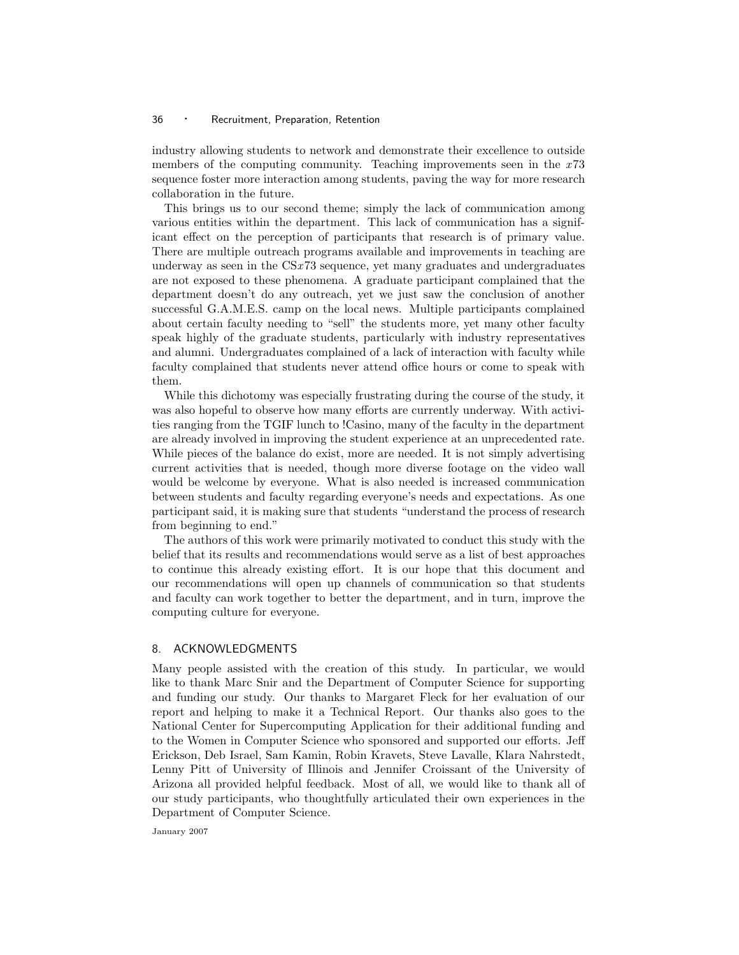industry allowing students to network and demonstrate their excellence to outside members of the computing community. Teaching improvements seen in the  $x73$ sequence foster more interaction among students, paving the way for more research collaboration in the future.

This brings us to our second theme; simply the lack of communication among various entities within the department. This lack of communication has a significant effect on the perception of participants that research is of primary value. There are multiple outreach programs available and improvements in teaching are underway as seen in the CSx73 sequence, yet many graduates and undergraduates are not exposed to these phenomena. A graduate participant complained that the department doesn't do any outreach, yet we just saw the conclusion of another successful G.A.M.E.S. camp on the local news. Multiple participants complained about certain faculty needing to "sell" the students more, yet many other faculty speak highly of the graduate students, particularly with industry representatives and alumni. Undergraduates complained of a lack of interaction with faculty while faculty complained that students never attend office hours or come to speak with them.

While this dichotomy was especially frustrating during the course of the study, it was also hopeful to observe how many efforts are currently underway. With activities ranging from the TGIF lunch to !Casino, many of the faculty in the department are already involved in improving the student experience at an unprecedented rate. While pieces of the balance do exist, more are needed. It is not simply advertising current activities that is needed, though more diverse footage on the video wall would be welcome by everyone. What is also needed is increased communication between students and faculty regarding everyone's needs and expectations. As one participant said, it is making sure that students "understand the process of research from beginning to end."

The authors of this work were primarily motivated to conduct this study with the belief that its results and recommendations would serve as a list of best approaches to continue this already existing effort. It is our hope that this document and our recommendations will open up channels of communication so that students and faculty can work together to better the department, and in turn, improve the computing culture for everyone.

# 8. ACKNOWLEDGMENTS

Many people assisted with the creation of this study. In particular, we would like to thank Marc Snir and the Department of Computer Science for supporting and funding our study. Our thanks to Margaret Fleck for her evaluation of our report and helping to make it a Technical Report. Our thanks also goes to the National Center for Supercomputing Application for their additional funding and to the Women in Computer Science who sponsored and supported our efforts. Jeff Erickson, Deb Israel, Sam Kamin, Robin Kravets, Steve Lavalle, Klara Nahrstedt, Lenny Pitt of University of Illinois and Jennifer Croissant of the University of Arizona all provided helpful feedback. Most of all, we would like to thank all of our study participants, who thoughtfully articulated their own experiences in the Department of Computer Science.